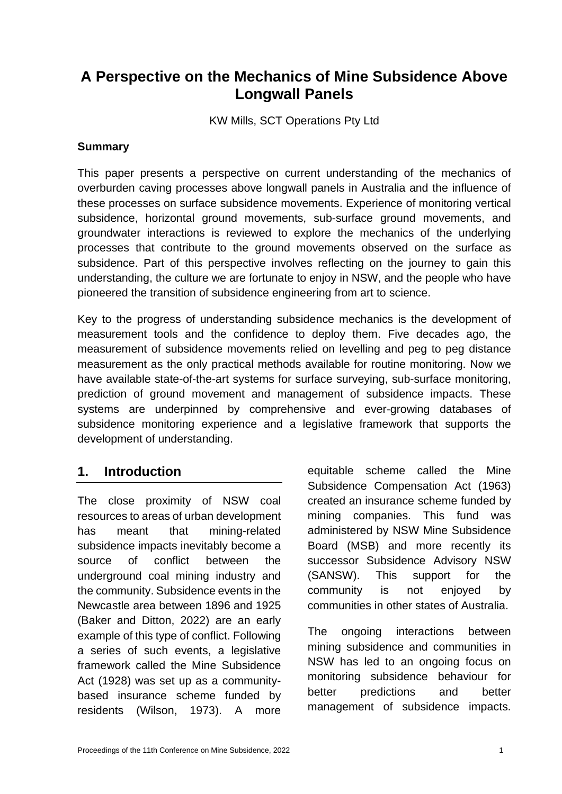# **A Perspective on the Mechanics of Mine Subsidence Above Longwall Panels**

KW Mills, SCT Operations Pty Ltd

## **Summary**

This paper presents a perspective on current understanding of the mechanics of overburden caving processes above longwall panels in Australia and the influence of these processes on surface subsidence movements. Experience of monitoring vertical subsidence, horizontal ground movements, sub-surface ground movements, and groundwater interactions is reviewed to explore the mechanics of the underlying processes that contribute to the ground movements observed on the surface as subsidence. Part of this perspective involves reflecting on the journey to gain this understanding, the culture we are fortunate to enjoy in NSW, and the people who have pioneered the transition of subsidence engineering from art to science.

Key to the progress of understanding subsidence mechanics is the development of measurement tools and the confidence to deploy them. Five decades ago, the measurement of subsidence movements relied on levelling and peg to peg distance measurement as the only practical methods available for routine monitoring. Now we have available state-of-the-art systems for surface surveying, sub-surface monitoring, prediction of ground movement and management of subsidence impacts. These systems are underpinned by comprehensive and ever-growing databases of subsidence monitoring experience and a legislative framework that supports the development of understanding.

## **1. Introduction**

The close proximity of NSW coal resources to areas of urban development has meant that mining-related subsidence impacts inevitably become a source of conflict between the underground coal mining industry and the community. Subsidence events in the Newcastle area between 1896 and 1925 (Baker and Ditton, 2022) are an early example of this type of conflict. Following a series of such events, a legislative framework called the Mine Subsidence Act (1928) was set up as a communitybased insurance scheme funded by residents (Wilson, 1973). A more

equitable scheme called the Mine Subsidence Compensation Act (1963) created an insurance scheme funded by mining companies. This fund was administered by NSW Mine Subsidence Board (MSB) and more recently its successor Subsidence Advisory NSW (SANSW). This support for the community is not enjoyed by communities in other states of Australia.

The ongoing interactions between mining subsidence and communities in NSW has led to an ongoing focus on monitoring subsidence behaviour for better predictions and better management of subsidence impacts.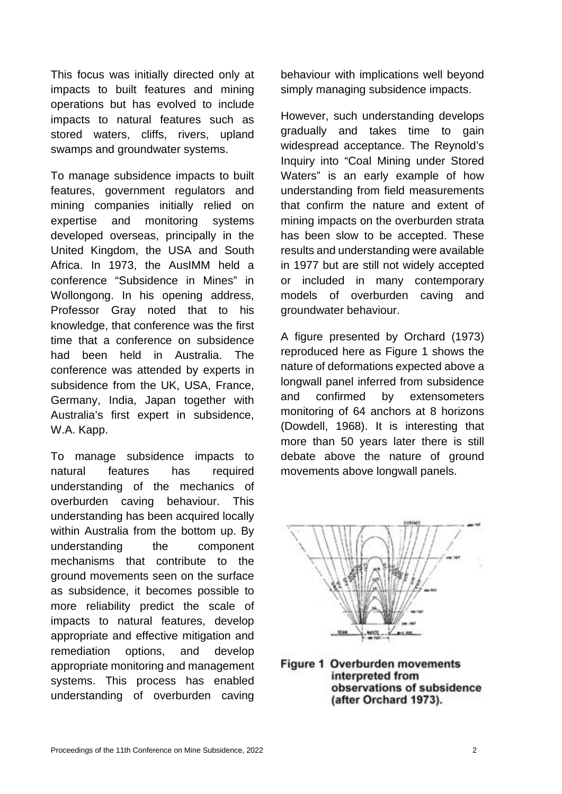This focus was initially directed only at impacts to built features and mining operations but has evolved to include impacts to natural features such as stored waters, cliffs, rivers, upland swamps and groundwater systems.

To manage subsidence impacts to built features, government regulators and mining companies initially relied on expertise and monitoring systems developed overseas, principally in the United Kingdom, the USA and South Africa. In 1973, the AusIMM held a conference "Subsidence in Mines" in Wollongong. In his opening address, Professor Gray noted that to his knowledge, that conference was the first time that a conference on subsidence had been held in Australia. The conference was attended by experts in subsidence from the UK, USA, France, Germany, India, Japan together with Australia's first expert in subsidence, W.A. Kapp.

To manage subsidence impacts to natural features has required understanding of the mechanics of overburden caving behaviour. This understanding has been acquired locally within Australia from the bottom up. By understanding the component mechanisms that contribute to the ground movements seen on the surface as subsidence, it becomes possible to more reliability predict the scale of impacts to natural features, develop appropriate and effective mitigation and remediation options, and develop appropriate monitoring and management systems. This process has enabled understanding of overburden caving

behaviour with implications well beyond simply managing subsidence impacts.

However, such understanding develops gradually and takes time to gain widespread acceptance. The Reynold's Inquiry into "Coal Mining under Stored Waters" is an early example of how understanding from field measurements that confirm the nature and extent of mining impacts on the overburden strata has been slow to be accepted. These results and understanding were available in 1977 but are still not widely accepted or included in many contemporary models of overburden caving and groundwater behaviour.

A figure presented by Orchard (1973) reproduced here as Figure 1 shows the nature of deformations expected above a longwall panel inferred from subsidence and confirmed by extensometers monitoring of 64 anchors at 8 horizons (Dowdell, 1968). It is interesting that more than 50 years later there is still debate above the nature of ground movements above longwall panels.



Figure 1 Overburden movements interpreted from observations of subsidence (after Orchard 1973).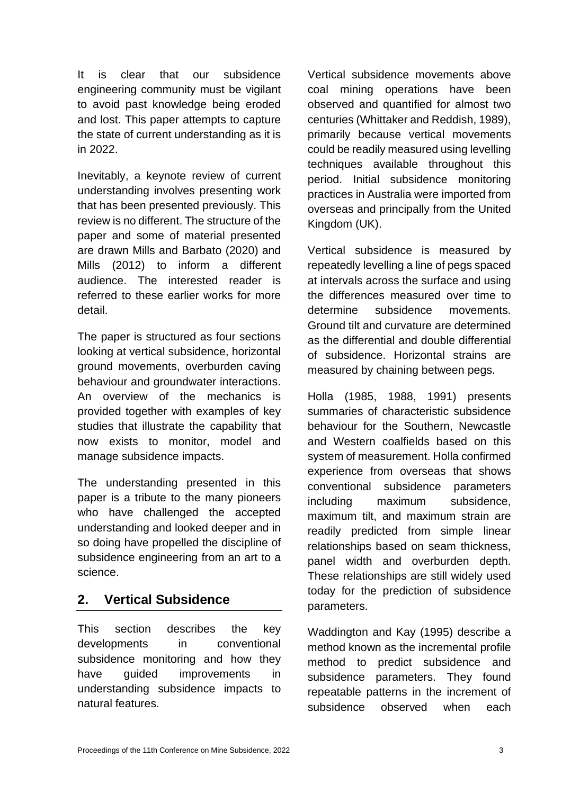It is clear that our subsidence engineering community must be vigilant to avoid past knowledge being eroded and lost. This paper attempts to capture the state of current understanding as it is in 2022.

Inevitably, a keynote review of current understanding involves presenting work that has been presented previously. This review is no different. The structure of the paper and some of material presented are drawn Mills and Barbato (2020) and Mills (2012) to inform a different audience. The interested reader is referred to these earlier works for more detail.

The paper is structured as four sections looking at vertical subsidence, horizontal ground movements, overburden caving behaviour and groundwater interactions. An overview of the mechanics is provided together with examples of key studies that illustrate the capability that now exists to monitor, model and manage subsidence impacts.

The understanding presented in this paper is a tribute to the many pioneers who have challenged the accepted understanding and looked deeper and in so doing have propelled the discipline of subsidence engineering from an art to a science.

# **2. Vertical Subsidence**

This section describes the key developments in conventional subsidence monitoring and how they have guided improvements in understanding subsidence impacts to natural features.

Vertical subsidence movements above coal mining operations have been observed and quantified for almost two centuries (Whittaker and Reddish, 1989), primarily because vertical movements could be readily measured using levelling techniques available throughout this period. Initial subsidence monitoring practices in Australia were imported from overseas and principally from the United Kingdom (UK).

Vertical subsidence is measured by repeatedly levelling a line of pegs spaced at intervals across the surface and using the differences measured over time to determine subsidence movements. Ground tilt and curvature are determined as the differential and double differential of subsidence. Horizontal strains are measured by chaining between pegs.

Holla (1985, 1988, 1991) presents summaries of characteristic subsidence behaviour for the Southern, Newcastle and Western coalfields based on this system of measurement. Holla confirmed experience from overseas that shows conventional subsidence parameters including maximum subsidence, maximum tilt, and maximum strain are readily predicted from simple linear relationships based on seam thickness, panel width and overburden depth. These relationships are still widely used today for the prediction of subsidence parameters.

Waddington and Kay (1995) describe a method known as the incremental profile method to predict subsidence and subsidence parameters. They found repeatable patterns in the increment of subsidence observed when each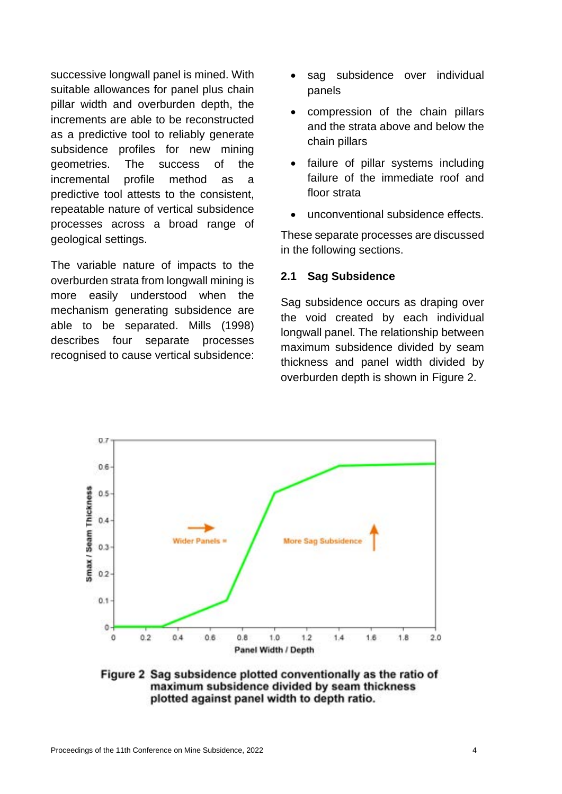successive longwall panel is mined. With suitable allowances for panel plus chain pillar width and overburden depth, the increments are able to be reconstructed as a predictive tool to reliably generate subsidence profiles for new mining geometries. The success of the incremental profile method as a predictive tool attests to the consistent, repeatable nature of vertical subsidence processes across a broad range of geological settings.

The variable nature of impacts to the overburden strata from longwall mining is more easily understood when the mechanism generating subsidence are able to be separated. Mills (1998) describes four separate processes recognised to cause vertical subsidence:

- sag subsidence over individual panels
- compression of the chain pillars and the strata above and below the chain pillars
- failure of pillar systems including failure of the immediate roof and floor strata
- unconventional subsidence effects.

These separate processes are discussed in the following sections.

## **2.1 Sag Subsidence**

Sag subsidence occurs as draping over the void created by each individual longwall panel. The relationship between maximum subsidence divided by seam thickness and panel width divided by overburden depth is shown in Figure 2.



Figure 2 Sag subsidence plotted conventionally as the ratio of maximum subsidence divided by seam thickness plotted against panel width to depth ratio.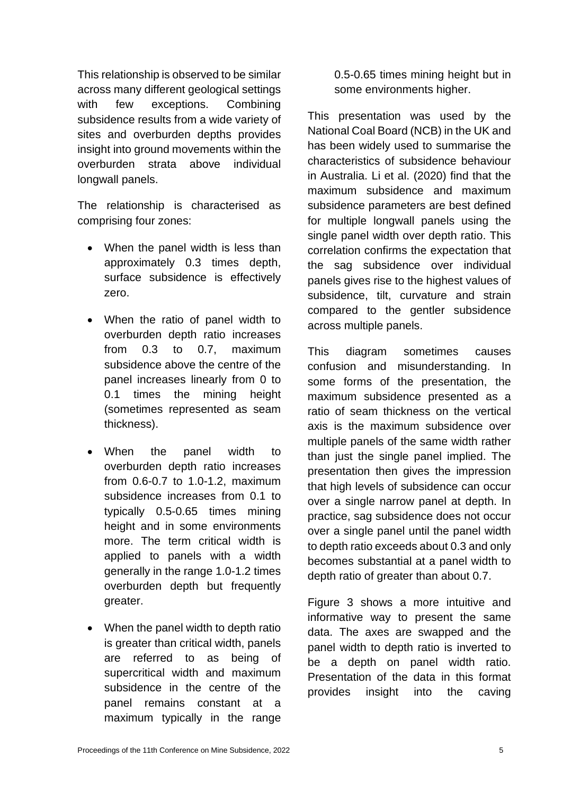This relationship is observed to be similar across many different geological settings with few exceptions. Combining subsidence results from a wide variety of sites and overburden depths provides insight into ground movements within the overburden strata above individual longwall panels.

The relationship is characterised as comprising four zones:

- When the panel width is less than approximately 0.3 times depth, surface subsidence is effectively zero.
- When the ratio of panel width to overburden depth ratio increases from 0.3 to 0.7, maximum subsidence above the centre of the panel increases linearly from 0 to 0.1 times the mining height (sometimes represented as seam thickness).
- When the panel width to overburden depth ratio increases from 0.6-0.7 to 1.0-1.2, maximum subsidence increases from 0.1 to typically 0.5-0.65 times mining height and in some environments more. The term critical width is applied to panels with a width generally in the range 1.0-1.2 times overburden depth but frequently greater.
- When the panel width to depth ratio is greater than critical width, panels are referred to as being of supercritical width and maximum subsidence in the centre of the panel remains constant at a maximum typically in the range

0.5-0.65 times mining height but in some environments higher.

This presentation was used by the National Coal Board (NCB) in the UK and has been widely used to summarise the characteristics of subsidence behaviour in Australia. Li et al. (2020) find that the maximum subsidence and maximum subsidence parameters are best defined for multiple longwall panels using the single panel width over depth ratio. This correlation confirms the expectation that the sag subsidence over individual panels gives rise to the highest values of subsidence, tilt, curvature and strain compared to the gentler subsidence across multiple panels.

This diagram sometimes causes confusion and misunderstanding. In some forms of the presentation, the maximum subsidence presented as a ratio of seam thickness on the vertical axis is the maximum subsidence over multiple panels of the same width rather than just the single panel implied. The presentation then gives the impression that high levels of subsidence can occur over a single narrow panel at depth. In practice, sag subsidence does not occur over a single panel until the panel width to depth ratio exceeds about 0.3 and only becomes substantial at a panel width to depth ratio of greater than about 0.7.

Figure 3 shows a more intuitive and informative way to present the same data. The axes are swapped and the panel width to depth ratio is inverted to be a depth on panel width ratio. Presentation of the data in this format provides insight into the caving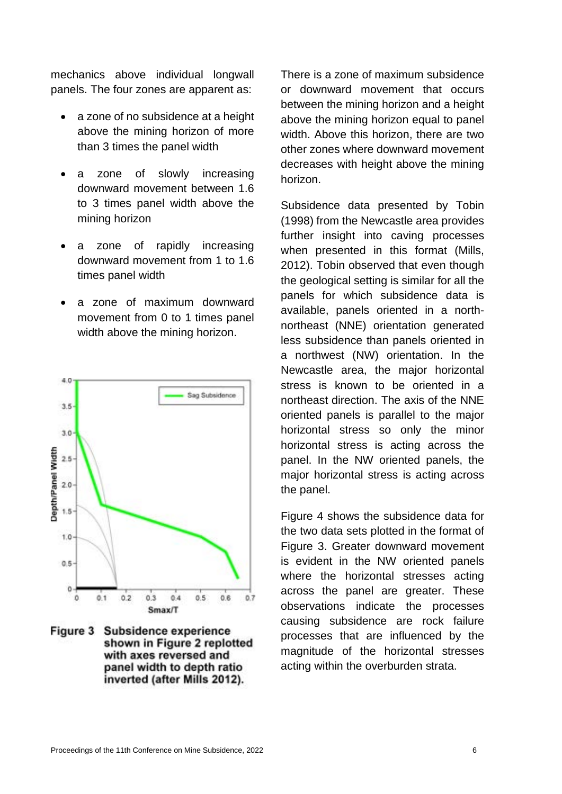mechanics above individual longwall panels. The four zones are apparent as:

- a zone of no subsidence at a height above the mining horizon of more than 3 times the panel width
- a zone of slowly increasing downward movement between 1.6 to 3 times panel width above the mining horizon
- a zone of rapidly increasing downward movement from 1 to 1.6 times panel width
- a zone of maximum downward movement from 0 to 1 times panel width above the mining horizon.



Figure 3 Subsidence experience shown in Figure 2 replotted with axes reversed and panel width to depth ratio inverted (after Mills 2012).

There is a zone of maximum subsidence or downward movement that occurs between the mining horizon and a height above the mining horizon equal to panel width. Above this horizon, there are two other zones where downward movement decreases with height above the mining horizon.

Subsidence data presented by Tobin (1998) from the Newcastle area provides further insight into caving processes when presented in this format (Mills, 2012). Tobin observed that even though the geological setting is similar for all the panels for which subsidence data is available, panels oriented in a northnortheast (NNE) orientation generated less subsidence than panels oriented in a northwest (NW) orientation. In the Newcastle area, the major horizontal stress is known to be oriented in a northeast direction. The axis of the NNE oriented panels is parallel to the major horizontal stress so only the minor horizontal stress is acting across the panel. In the NW oriented panels, the major horizontal stress is acting across the panel.

Figure 4 shows the subsidence data for the two data sets plotted in the format of Figure 3. Greater downward movement is evident in the NW oriented panels where the horizontal stresses acting across the panel are greater. These observations indicate the processes causing subsidence are rock failure processes that are influenced by the magnitude of the horizontal stresses acting within the overburden strata.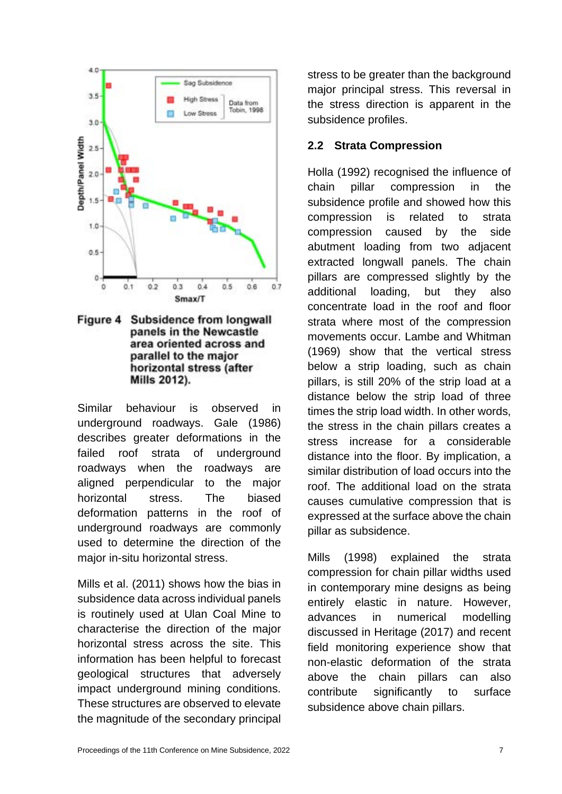

**Figure 4** Subsidence from longwall panels in the Newcastle area oriented across and parallel to the major horizontal stress (after Mills 2012).

Similar behaviour is observed in underground roadways. Gale (1986) describes greater deformations in the failed roof strata of underground roadways when the roadways are aligned perpendicular to the major horizontal stress. The biased deformation patterns in the roof of underground roadways are commonly used to determine the direction of the major in-situ horizontal stress.

Mills et al. (2011) shows how the bias in subsidence data across individual panels is routinely used at Ulan Coal Mine to characterise the direction of the major horizontal stress across the site. This information has been helpful to forecast geological structures that adversely impact underground mining conditions. These structures are observed to elevate the magnitude of the secondary principal

stress to be greater than the background major principal stress. This reversal in the stress direction is apparent in the subsidence profiles.

## **2.2 Strata Compression**

Holla (1992) recognised the influence of chain pillar compression in the subsidence profile and showed how this compression is related to strata compression caused by the side abutment loading from two adjacent extracted longwall panels. The chain pillars are compressed slightly by the additional loading, but they also concentrate load in the roof and floor strata where most of the compression movements occur. Lambe and Whitman (1969) show that the vertical stress below a strip loading, such as chain pillars, is still 20% of the strip load at a distance below the strip load of three times the strip load width. In other words, the stress in the chain pillars creates a stress increase for a considerable distance into the floor. By implication, a similar distribution of load occurs into the roof. The additional load on the strata causes cumulative compression that is expressed at the surface above the chain pillar as subsidence.

Mills (1998) explained the strata compression for chain pillar widths used in contemporary mine designs as being entirely elastic in nature. However, advances in numerical modelling discussed in Heritage (2017) and recent field monitoring experience show that non-elastic deformation of the strata above the chain pillars can also contribute significantly to surface subsidence above chain pillars.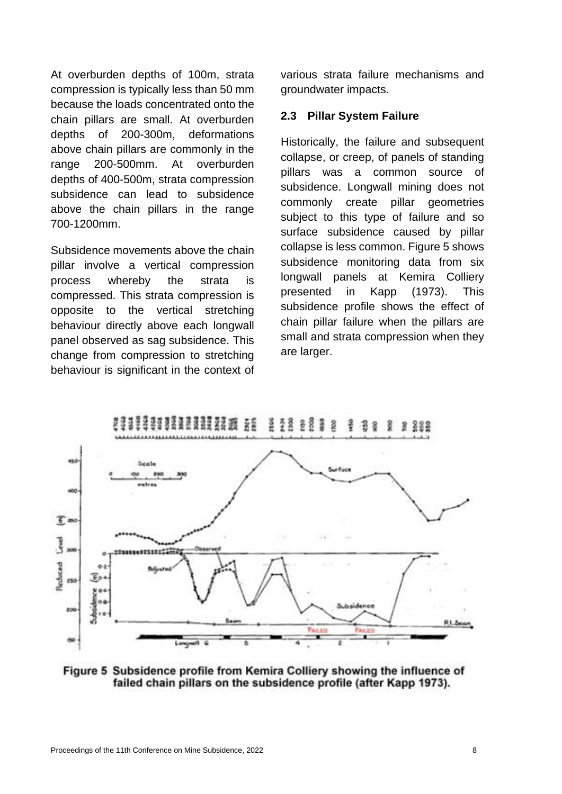At overburden depths of 100m, strata compression is typically less than 50 mm because the loads concentrated onto the chain pillars are small. At overburden depths of 200-300m, deformations above chain pillars are commonly in the range 200-500mm. At overburden depths of 400-500m, strata compression subsidence can lead to subsidence above the chain pillars in the range 700-1200mm.

Subsidence movements above the chain pillar involve a vertical compression process whereby the strata is compressed. This strata compression is opposite to the vertical stretching behaviour directly above each longwall panel observed as sag subsidence. This change from compression to stretching behaviour is significant in the context of various strata failure mechanisms and groundwater impacts.

## **2.3 Pillar System Failure**

Historically, the failure and subsequent collapse, or creep, of panels of standing pillars was a common source of subsidence. Longwall mining does not commonly create pillar geometries subject to this type of failure and so surface subsidence caused by pillar collapse is less common. Figure 5 shows subsidence monitoring data from six longwall panels at Kemira Colliery presented in Kapp (1973). This subsidence profile shows the effect of chain pillar failure when the pillars are small and strata compression when they are larger.



Figure 5 Subsidence profile from Kemira Colliery showing the influence of failed chain pillars on the subsidence profile (after Kapp 1973).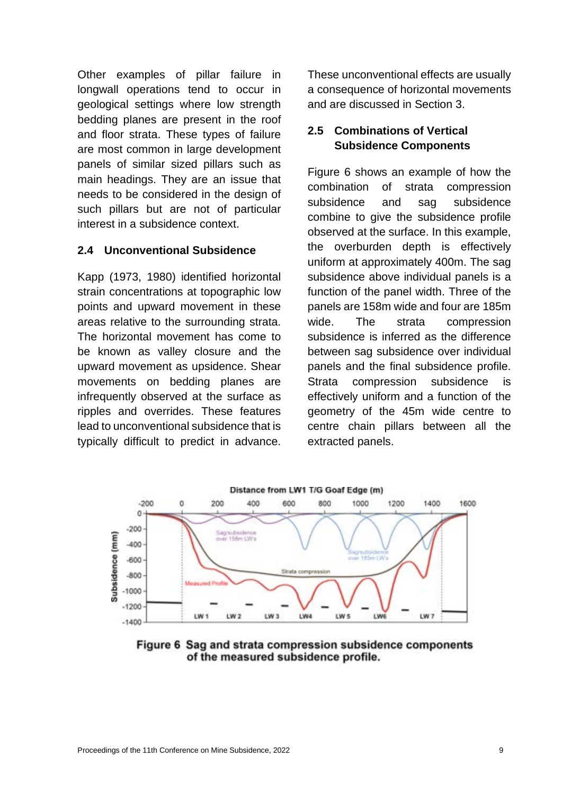Other examples of pillar failure in longwall operations tend to occur in geological settings where low strength bedding planes are present in the roof and floor strata. These types of failure are most common in large development panels of similar sized pillars such as main headings. They are an issue that needs to be considered in the design of such pillars but are not of particular interest in a subsidence context.

## **2.4 Unconventional Subsidence**

Kapp (1973, 1980) identified horizontal strain concentrations at topographic low points and upward movement in these areas relative to the surrounding strata. The horizontal movement has come to be known as valley closure and the upward movement as upsidence. Shear movements on bedding planes are infrequently observed at the surface as ripples and overrides. These features lead to unconventional subsidence that is typically difficult to predict in advance.

These unconventional effects are usually a consequence of horizontal movements and are discussed in Section 3.

## **2.5 Combinations of Vertical Subsidence Components**

Figure 6 shows an example of how the combination of strata compression subsidence and sag subsidence combine to give the subsidence profile observed at the surface. In this example, the overburden depth is effectively uniform at approximately 400m. The sag subsidence above individual panels is a function of the panel width. Three of the panels are 158m wide and four are 185m wide. The strata compression subsidence is inferred as the difference between sag subsidence over individual panels and the final subsidence profile. Strata compression subsidence is effectively uniform and a function of the geometry of the 45m wide centre to centre chain pillars between all the extracted panels.



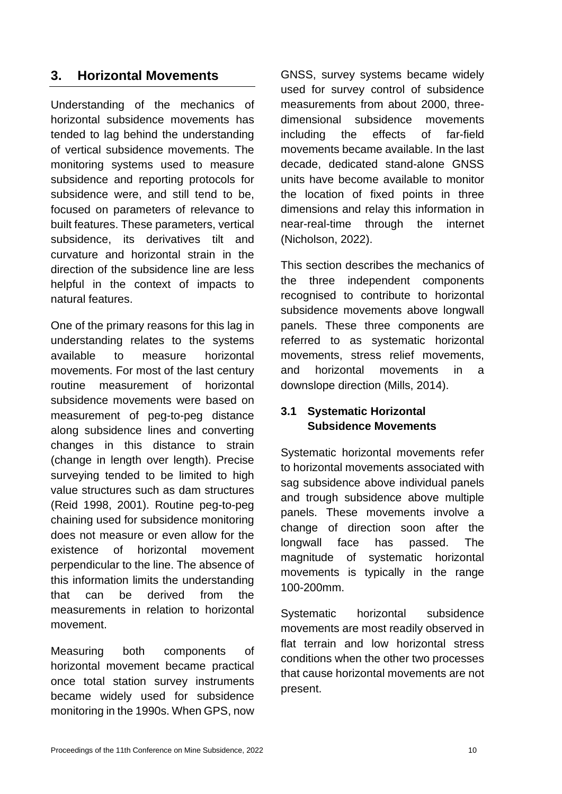# **3. Horizontal Movements**

Understanding of the mechanics of horizontal subsidence movements has tended to lag behind the understanding of vertical subsidence movements. The monitoring systems used to measure subsidence and reporting protocols for subsidence were, and still tend to be, focused on parameters of relevance to built features. These parameters, vertical subsidence, its derivatives tilt and curvature and horizontal strain in the direction of the subsidence line are less helpful in the context of impacts to natural features.

One of the primary reasons for this lag in understanding relates to the systems available to measure horizontal movements. For most of the last century routine measurement of horizontal subsidence movements were based on measurement of peg-to-peg distance along subsidence lines and converting changes in this distance to strain (change in length over length). Precise surveying tended to be limited to high value structures such as dam structures (Reid 1998, 2001). Routine peg-to-peg chaining used for subsidence monitoring does not measure or even allow for the existence of horizontal movement perpendicular to the line. The absence of this information limits the understanding that can be derived from the measurements in relation to horizontal movement.

Measuring both components of horizontal movement became practical once total station survey instruments became widely used for subsidence monitoring in the 1990s. When GPS, now

GNSS, survey systems became widely used for survey control of subsidence measurements from about 2000, threedimensional subsidence movements including the effects of far-field movements became available. In the last decade, dedicated stand-alone GNSS units have become available to monitor the location of fixed points in three dimensions and relay this information in near-real-time through the internet (Nicholson, 2022).

This section describes the mechanics of the three independent components recognised to contribute to horizontal subsidence movements above longwall panels. These three components are referred to as systematic horizontal movements, stress relief movements, and horizontal movements in a downslope direction (Mills, 2014).

## **3.1 Systematic Horizontal Subsidence Movements**

Systematic horizontal movements refer to horizontal movements associated with sag subsidence above individual panels and trough subsidence above multiple panels. These movements involve a change of direction soon after the longwall face has passed. The magnitude of systematic horizontal movements is typically in the range 100-200mm.

Systematic horizontal subsidence movements are most readily observed in flat terrain and low horizontal stress conditions when the other two processes that cause horizontal movements are not present.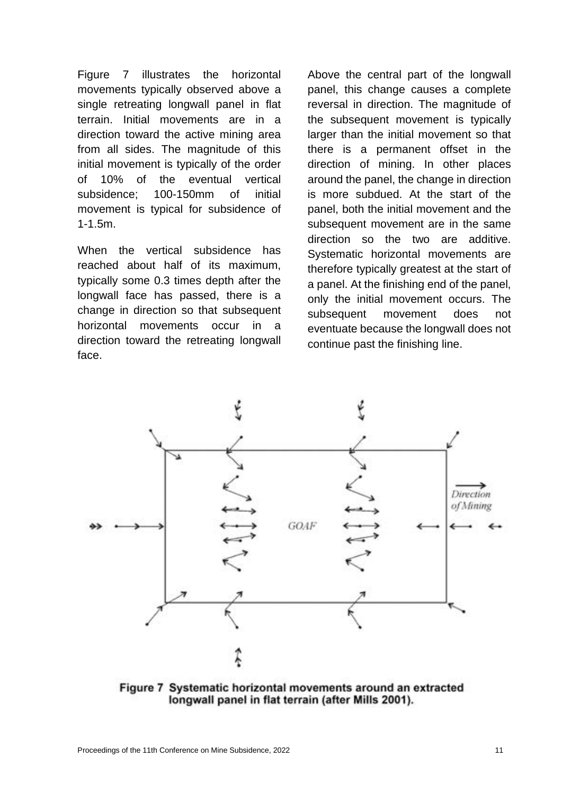Figure 7 illustrates the horizontal movements typically observed above a single retreating longwall panel in flat terrain. Initial movements are in a direction toward the active mining area from all sides. The magnitude of this initial movement is typically of the order of 10% of the eventual vertical subsidence; 100-150mm of initial movement is typical for subsidence of 1-1.5m.

When the vertical subsidence has reached about half of its maximum, typically some 0.3 times depth after the longwall face has passed, there is a change in direction so that subsequent horizontal movements occur in a direction toward the retreating longwall face.

Above the central part of the longwall panel, this change causes a complete reversal in direction. The magnitude of the subsequent movement is typically larger than the initial movement so that there is a permanent offset in the direction of mining. In other places around the panel, the change in direction is more subdued. At the start of the panel, both the initial movement and the subsequent movement are in the same direction so the two are additive. Systematic horizontal movements are therefore typically greatest at the start of a panel. At the finishing end of the panel, only the initial movement occurs. The subsequent movement does not eventuate because the longwall does not continue past the finishing line.



Figure 7 Systematic horizontal movements around an extracted longwall panel in flat terrain (after Mills 2001).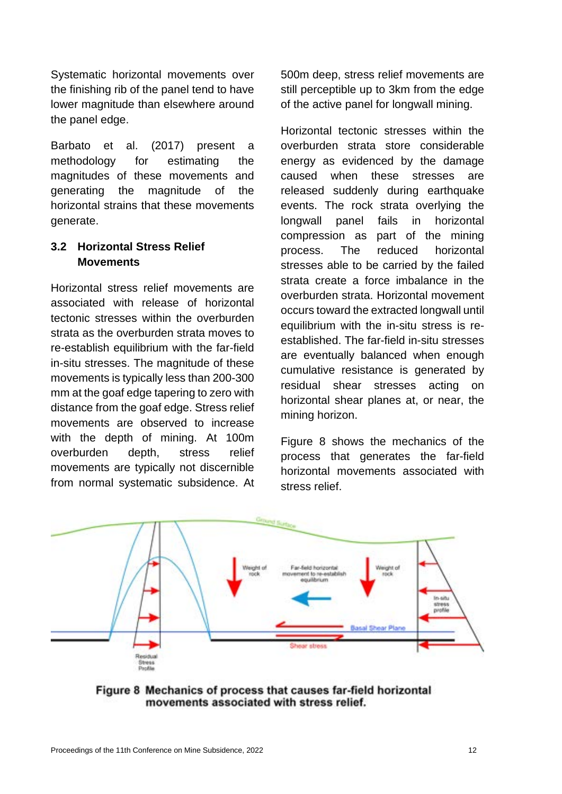Systematic horizontal movements over the finishing rib of the panel tend to have lower magnitude than elsewhere around the panel edge.

Barbato et al. (2017) present a methodology for estimating the magnitudes of these movements and generating the magnitude of the horizontal strains that these movements generate.

## **3.2 Horizontal Stress Relief Movements**

Horizontal stress relief movements are associated with release of horizontal tectonic stresses within the overburden strata as the overburden strata moves to re-establish equilibrium with the far-field in-situ stresses. The magnitude of these movements is typically less than 200-300 mm at the goaf edge tapering to zero with distance from the goaf edge. Stress relief movements are observed to increase with the depth of mining. At 100m overburden depth, stress relief movements are typically not discernible from normal systematic subsidence. At

500m deep, stress relief movements are still perceptible up to 3km from the edge of the active panel for longwall mining.

Horizontal tectonic stresses within the overburden strata store considerable energy as evidenced by the damage caused when these stresses are released suddenly during earthquake events. The rock strata overlying the longwall panel fails in horizontal compression as part of the mining process. The reduced horizontal stresses able to be carried by the failed strata create a force imbalance in the overburden strata. Horizontal movement occurs toward the extracted longwall until equilibrium with the in-situ stress is reestablished. The far-field in-situ stresses are eventually balanced when enough cumulative resistance is generated by residual shear stresses acting on horizontal shear planes at, or near, the mining horizon.

Figure 8 shows the mechanics of the process that generates the far-field horizontal movements associated with stress relief.



Figure 8 Mechanics of process that causes far-field horizontal movements associated with stress relief.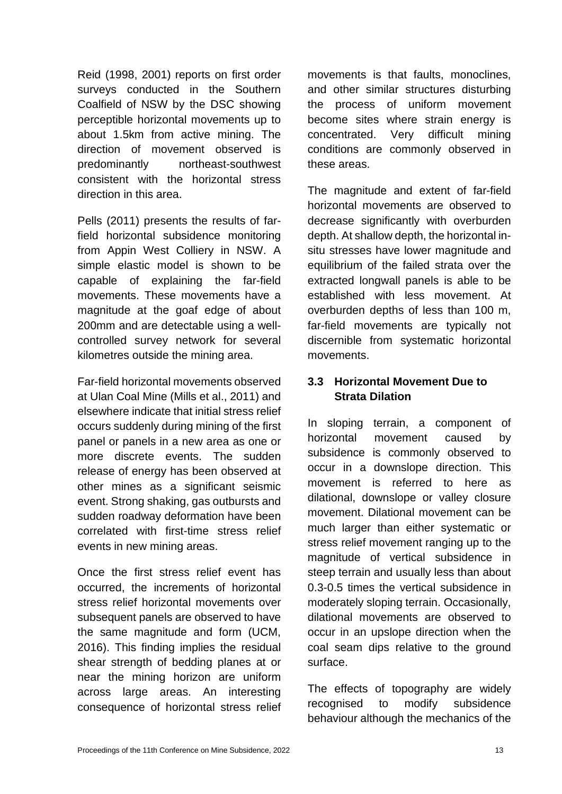Reid (1998, 2001) reports on first order surveys conducted in the Southern Coalfield of NSW by the DSC showing perceptible horizontal movements up to about 1.5km from active mining. The direction of movement observed is predominantly northeast-southwest consistent with the horizontal stress direction in this area.

Pells (2011) presents the results of farfield horizontal subsidence monitoring from Appin West Colliery in NSW. A simple elastic model is shown to be capable of explaining the far-field movements. These movements have a magnitude at the goaf edge of about 200mm and are detectable using a wellcontrolled survey network for several kilometres outside the mining area.

Far-field horizontal movements observed at Ulan Coal Mine (Mills et al., 2011) and elsewhere indicate that initial stress relief occurs suddenly during mining of the first panel or panels in a new area as one or more discrete events. The sudden release of energy has been observed at other mines as a significant seismic event. Strong shaking, gas outbursts and sudden roadway deformation have been correlated with first-time stress relief events in new mining areas.

Once the first stress relief event has occurred, the increments of horizontal stress relief horizontal movements over subsequent panels are observed to have the same magnitude and form (UCM, 2016). This finding implies the residual shear strength of bedding planes at or near the mining horizon are uniform across large areas. An interesting consequence of horizontal stress relief movements is that faults, monoclines, and other similar structures disturbing the process of uniform movement become sites where strain energy is concentrated. Very difficult mining conditions are commonly observed in these areas.

The magnitude and extent of far-field horizontal movements are observed to decrease significantly with overburden depth. At shallow depth, the horizontal insitu stresses have lower magnitude and equilibrium of the failed strata over the extracted longwall panels is able to be established with less movement. At overburden depths of less than 100 m, far-field movements are typically not discernible from systematic horizontal movements.

## **3.3 Horizontal Movement Due to Strata Dilation**

In sloping terrain, a component of horizontal movement caused by subsidence is commonly observed to occur in a downslope direction. This movement is referred to here as dilational, downslope or valley closure movement. Dilational movement can be much larger than either systematic or stress relief movement ranging up to the magnitude of vertical subsidence in steep terrain and usually less than about 0.3-0.5 times the vertical subsidence in moderately sloping terrain. Occasionally, dilational movements are observed to occur in an upslope direction when the coal seam dips relative to the ground surface.

The effects of topography are widely recognised to modify subsidence behaviour although the mechanics of the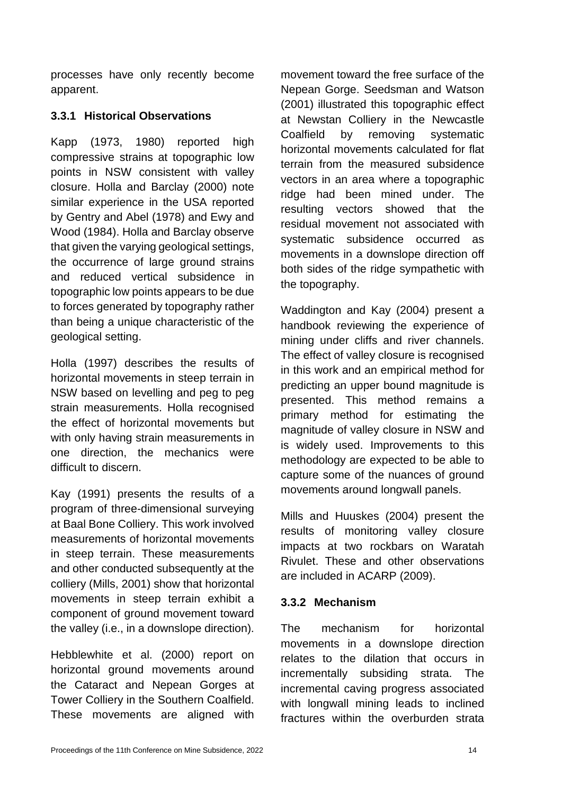processes have only recently become apparent.

## **3.3.1 Historical Observations**

Kapp (1973, 1980) reported high compressive strains at topographic low points in NSW consistent with valley closure. Holla and Barclay (2000) note similar experience in the USA reported by Gentry and Abel (1978) and Ewy and Wood (1984). Holla and Barclay observe that given the varying geological settings, the occurrence of large ground strains and reduced vertical subsidence in topographic low points appears to be due to forces generated by topography rather than being a unique characteristic of the geological setting.

Holla (1997) describes the results of horizontal movements in steep terrain in NSW based on levelling and peg to peg strain measurements. Holla recognised the effect of horizontal movements but with only having strain measurements in one direction, the mechanics were difficult to discern.

Kay (1991) presents the results of a program of three-dimensional surveying at Baal Bone Colliery. This work involved measurements of horizontal movements in steep terrain. These measurements and other conducted subsequently at the colliery (Mills, 2001) show that horizontal movements in steep terrain exhibit a component of ground movement toward the valley (i.e., in a downslope direction).

Hebblewhite et al. (2000) report on horizontal ground movements around the Cataract and Nepean Gorges at Tower Colliery in the Southern Coalfield. These movements are aligned with movement toward the free surface of the Nepean Gorge. Seedsman and Watson (2001) illustrated this topographic effect at Newstan Colliery in the Newcastle Coalfield by removing systematic horizontal movements calculated for flat terrain from the measured subsidence vectors in an area where a topographic ridge had been mined under. The resulting vectors showed that the residual movement not associated with systematic subsidence occurred as movements in a downslope direction off both sides of the ridge sympathetic with the topography.

Waddington and Kay (2004) present a handbook reviewing the experience of mining under cliffs and river channels. The effect of valley closure is recognised in this work and an empirical method for predicting an upper bound magnitude is presented. This method remains a primary method for estimating the magnitude of valley closure in NSW and is widely used. Improvements to this methodology are expected to be able to capture some of the nuances of ground movements around longwall panels.

Mills and Huuskes (2004) present the results of monitoring valley closure impacts at two rockbars on Waratah Rivulet. These and other observations are included in ACARP (2009).

## **3.3.2 Mechanism**

The mechanism for horizontal movements in a downslope direction relates to the dilation that occurs in incrementally subsiding strata. The incremental caving progress associated with longwall mining leads to inclined fractures within the overburden strata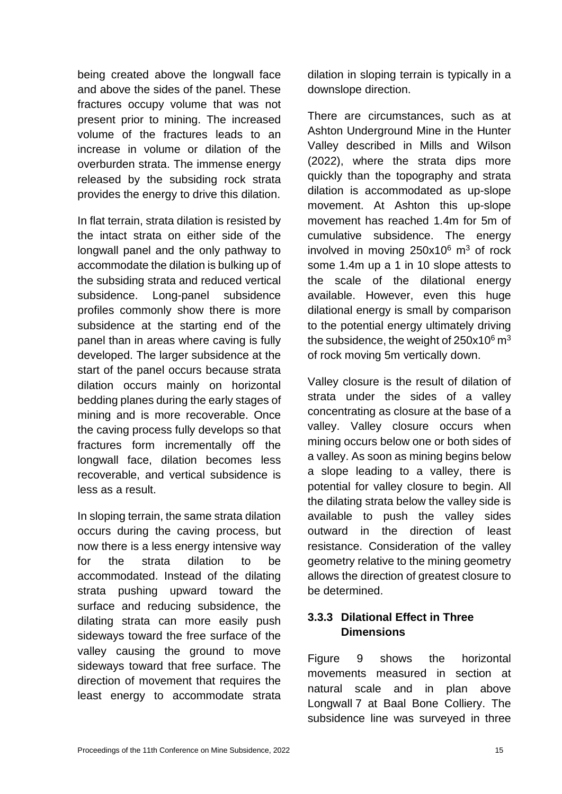being created above the longwall face and above the sides of the panel. These fractures occupy volume that was not present prior to mining. The increased volume of the fractures leads to an increase in volume or dilation of the overburden strata. The immense energy released by the subsiding rock strata provides the energy to drive this dilation.

In flat terrain, strata dilation is resisted by the intact strata on either side of the longwall panel and the only pathway to accommodate the dilation is bulking up of the subsiding strata and reduced vertical subsidence. Long-panel subsidence profiles commonly show there is more subsidence at the starting end of the panel than in areas where caving is fully developed. The larger subsidence at the start of the panel occurs because strata dilation occurs mainly on horizontal bedding planes during the early stages of mining and is more recoverable. Once the caving process fully develops so that fractures form incrementally off the longwall face, dilation becomes less recoverable, and vertical subsidence is less as a result.

In sloping terrain, the same strata dilation occurs during the caving process, but now there is a less energy intensive way for the strata dilation to be accommodated. Instead of the dilating strata pushing upward toward the surface and reducing subsidence, the dilating strata can more easily push sideways toward the free surface of the valley causing the ground to move sideways toward that free surface. The direction of movement that requires the least energy to accommodate strata

dilation in sloping terrain is typically in a downslope direction.

There are circumstances, such as at Ashton Underground Mine in the Hunter Valley described in Mills and Wilson (2022), where the strata dips more quickly than the topography and strata dilation is accommodated as up-slope movement. At Ashton this up-slope movement has reached 1.4m for 5m of cumulative subsidence. The energy involved in moving  $250x10^6$  m<sup>3</sup> of rock some 1.4m up a 1 in 10 slope attests to the scale of the dilational energy available. However, even this huge dilational energy is small by comparison to the potential energy ultimately driving the subsidence, the weight of  $250x10^6$  m<sup>3</sup> of rock moving 5m vertically down.

Valley closure is the result of dilation of strata under the sides of a valley concentrating as closure at the base of a valley. Valley closure occurs when mining occurs below one or both sides of a valley. As soon as mining begins below a slope leading to a valley, there is potential for valley closure to begin. All the dilating strata below the valley side is available to push the valley sides outward in the direction of least resistance. Consideration of the valley geometry relative to the mining geometry allows the direction of greatest closure to be determined.

## **3.3.3 Dilational Effect in Three Dimensions**

Figure 9 shows the horizontal movements measured in section at natural scale and in plan above Longwall 7 at Baal Bone Colliery. The subsidence line was surveyed in three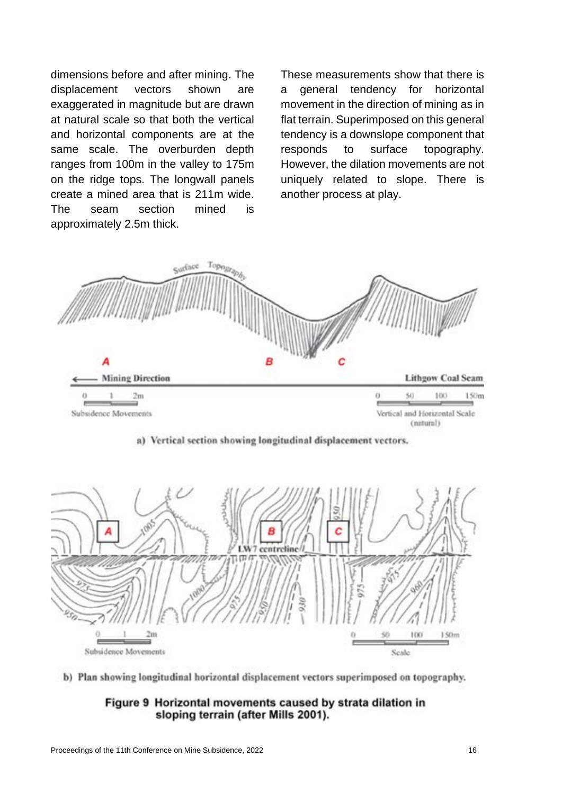dimensions before and after mining. The displacement vectors shown are exaggerated in magnitude but are drawn at natural scale so that both the vertical and horizontal components are at the same scale. The overburden depth ranges from 100m in the valley to 175m on the ridge tops. The longwall panels create a mined area that is 211m wide. The seam section mined is approximately 2.5m thick.

These measurements show that there is a general tendency for horizontal movement in the direction of mining as in flat terrain. Superimposed on this general tendency is a downslope component that responds to surface topography. However, the dilation movements are not uniquely related to slope. There is another process at play.







b) Plan showing longitudinal horizontal displacement vectors superimposed on topography.

### Figure 9 Horizontal movements caused by strata dilation in sloping terrain (after Mills 2001).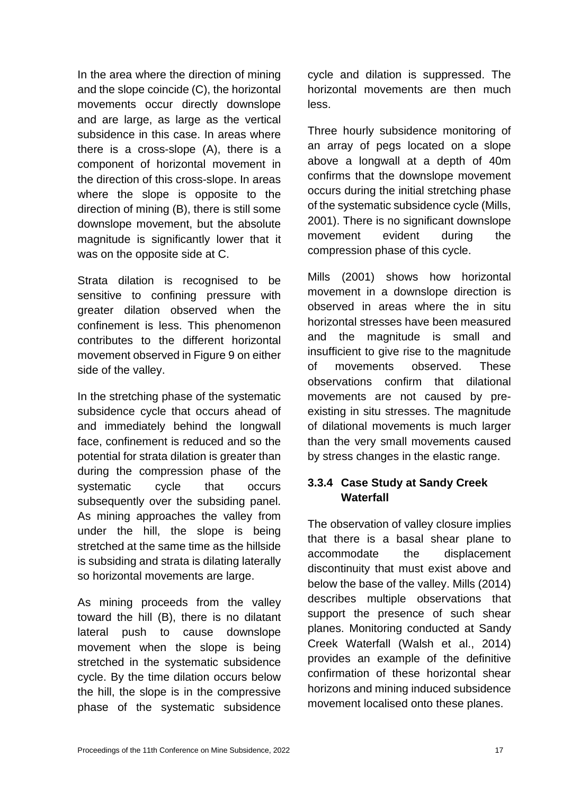In the area where the direction of mining and the slope coincide (C), the horizontal movements occur directly downslope and are large, as large as the vertical subsidence in this case. In areas where there is a cross-slope (A), there is a component of horizontal movement in the direction of this cross-slope. In areas where the slope is opposite to the direction of mining (B), there is still some downslope movement, but the absolute magnitude is significantly lower that it was on the opposite side at C.

Strata dilation is recognised to be sensitive to confining pressure with greater dilation observed when the confinement is less. This phenomenon contributes to the different horizontal movement observed in Figure 9 on either side of the valley.

In the stretching phase of the systematic subsidence cycle that occurs ahead of and immediately behind the longwall face, confinement is reduced and so the potential for strata dilation is greater than during the compression phase of the systematic cycle that occurs subsequently over the subsiding panel. As mining approaches the valley from under the hill, the slope is being stretched at the same time as the hillside is subsiding and strata is dilating laterally so horizontal movements are large.

As mining proceeds from the valley toward the hill (B), there is no dilatant lateral push to cause downslope movement when the slope is being stretched in the systematic subsidence cycle. By the time dilation occurs below the hill, the slope is in the compressive phase of the systematic subsidence cycle and dilation is suppressed. The horizontal movements are then much less.

Three hourly subsidence monitoring of an array of pegs located on a slope above a longwall at a depth of 40m confirms that the downslope movement occurs during the initial stretching phase of the systematic subsidence cycle (Mills, 2001). There is no significant downslope movement evident during the compression phase of this cycle.

Mills (2001) shows how horizontal movement in a downslope direction is observed in areas where the in situ horizontal stresses have been measured and the magnitude is small and insufficient to give rise to the magnitude of movements observed. These observations confirm that dilational movements are not caused by preexisting in situ stresses. The magnitude of dilational movements is much larger than the very small movements caused by stress changes in the elastic range.

## **3.3.4 Case Study at Sandy Creek Waterfall**

The observation of valley closure implies that there is a basal shear plane to accommodate the displacement discontinuity that must exist above and below the base of the valley. Mills (2014) describes multiple observations that support the presence of such shear planes. Monitoring conducted at Sandy Creek Waterfall (Walsh et al., 2014) provides an example of the definitive confirmation of these horizontal shear horizons and mining induced subsidence movement localised onto these planes.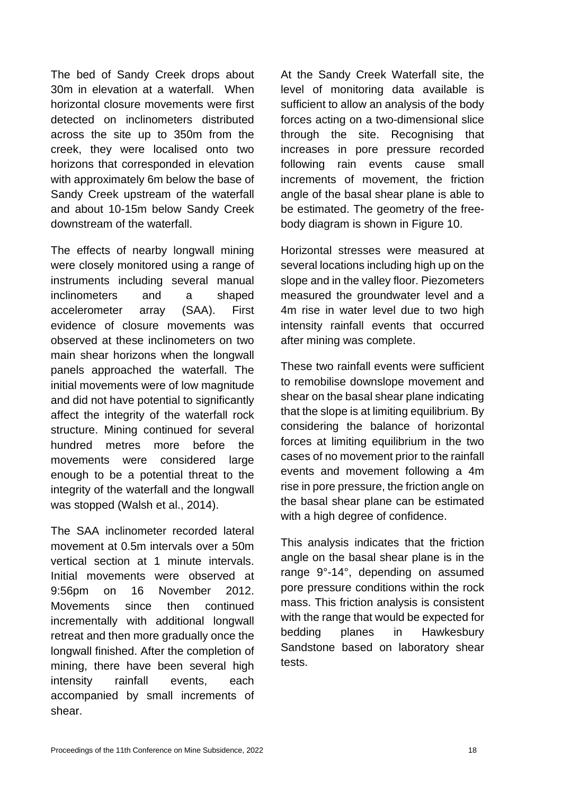The bed of Sandy Creek drops about 30m in elevation at a waterfall. When horizontal closure movements were first detected on inclinometers distributed across the site up to 350m from the creek, they were localised onto two horizons that corresponded in elevation with approximately 6m below the base of Sandy Creek upstream of the waterfall and about 10-15m below Sandy Creek downstream of the waterfall.

The effects of nearby longwall mining were closely monitored using a range of instruments including several manual inclinometers and a shaped accelerometer array (SAA). First evidence of closure movements was observed at these inclinometers on two main shear horizons when the longwall panels approached the waterfall. The initial movements were of low magnitude and did not have potential to significantly affect the integrity of the waterfall rock structure. Mining continued for several hundred metres more before the movements were considered large enough to be a potential threat to the integrity of the waterfall and the longwall was stopped (Walsh et al., 2014).

The SAA inclinometer recorded lateral movement at 0.5m intervals over a 50m vertical section at 1 minute intervals. Initial movements were observed at 9:56pm on 16 November 2012. Movements since then continued incrementally with additional longwall retreat and then more gradually once the longwall finished. After the completion of mining, there have been several high intensity rainfall events, each accompanied by small increments of shear.

At the Sandy Creek Waterfall site, the level of monitoring data available is sufficient to allow an analysis of the body forces acting on a two-dimensional slice through the site. Recognising that increases in pore pressure recorded following rain events cause small increments of movement, the friction angle of the basal shear plane is able to be estimated. The geometry of the freebody diagram is shown in Figure 10.

Horizontal stresses were measured at several locations including high up on the slope and in the valley floor. Piezometers measured the groundwater level and a 4m rise in water level due to two high intensity rainfall events that occurred after mining was complete.

These two rainfall events were sufficient to remobilise downslope movement and shear on the basal shear plane indicating that the slope is at limiting equilibrium. By considering the balance of horizontal forces at limiting equilibrium in the two cases of no movement prior to the rainfall events and movement following a 4m rise in pore pressure, the friction angle on the basal shear plane can be estimated with a high degree of confidence.

This analysis indicates that the friction angle on the basal shear plane is in the range 9°-14°, depending on assumed pore pressure conditions within the rock mass. This friction analysis is consistent with the range that would be expected for bedding planes in Hawkesbury Sandstone based on laboratory shear tests.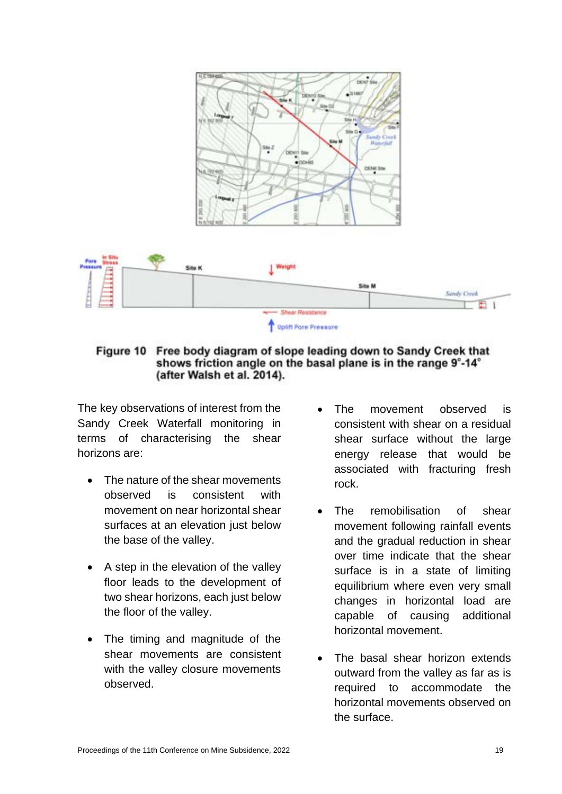

Free body diagram of slope leading down to Sandy Creek that Figure 10 shows friction angle on the basal plane is in the range 9°-14° (after Walsh et al. 2014).

The key observations of interest from the Sandy Creek Waterfall monitoring in terms of characterising the shear horizons are:

- The nature of the shear movements observed is consistent with movement on near horizontal shear surfaces at an elevation just below the base of the valley.
- A step in the elevation of the valley floor leads to the development of two shear horizons, each just below the floor of the valley.
- The timing and magnitude of the shear movements are consistent with the valley closure movements observed.
- The movement observed is consistent with shear on a residual shear surface without the large energy release that would be associated with fracturing fresh rock.
- The remobilisation of shear movement following rainfall events and the gradual reduction in shear over time indicate that the shear surface is in a state of limiting equilibrium where even very small changes in horizontal load are capable of causing additional horizontal movement.
- The basal shear horizon extends outward from the valley as far as is required to accommodate the horizontal movements observed on the surface.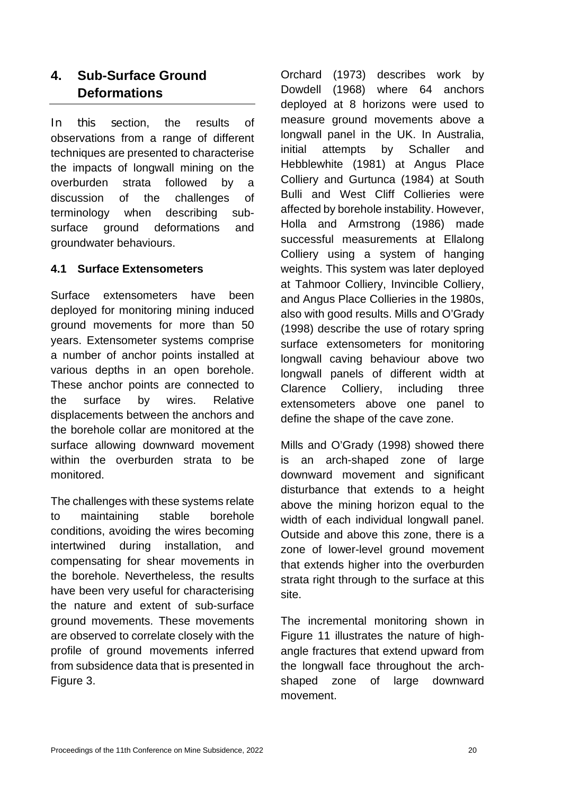# **4. Sub-Surface Ground Deformations**

In this section, the results of observations from a range of different techniques are presented to characterise the impacts of longwall mining on the overburden strata followed by a discussion of the challenges of terminology when describing subsurface ground deformations and groundwater behaviours.

## **4.1 Surface Extensometers**

Surface extensometers have been deployed for monitoring mining induced ground movements for more than 50 years. Extensometer systems comprise a number of anchor points installed at various depths in an open borehole. These anchor points are connected to the surface by wires. Relative displacements between the anchors and the borehole collar are monitored at the surface allowing downward movement within the overburden strata to be monitored.

The challenges with these systems relate to maintaining stable borehole conditions, avoiding the wires becoming intertwined during installation, and compensating for shear movements in the borehole. Nevertheless, the results have been very useful for characterising the nature and extent of sub-surface ground movements. These movements are observed to correlate closely with the profile of ground movements inferred from subsidence data that is presented in Figure 3.

Orchard (1973) describes work by Dowdell (1968) where 64 anchors deployed at 8 horizons were used to measure ground movements above a longwall panel in the UK. In Australia, initial attempts by Schaller and Hebblewhite (1981) at Angus Place Colliery and Gurtunca (1984) at South Bulli and West Cliff Collieries were affected by borehole instability. However, Holla and Armstrong (1986) made successful measurements at Ellalong Colliery using a system of hanging weights. This system was later deployed at Tahmoor Colliery, Invincible Colliery, and Angus Place Collieries in the 1980s, also with good results. Mills and O'Grady (1998) describe the use of rotary spring surface extensometers for monitoring longwall caving behaviour above two longwall panels of different width at Clarence Colliery, including three extensometers above one panel to define the shape of the cave zone.

Mills and O'Grady (1998) showed there is an arch-shaped zone of large downward movement and significant disturbance that extends to a height above the mining horizon equal to the width of each individual longwall panel. Outside and above this zone, there is a zone of lower-level ground movement that extends higher into the overburden strata right through to the surface at this site.

The incremental monitoring shown in Figure 11 illustrates the nature of highangle fractures that extend upward from the longwall face throughout the archshaped zone of large downward movement.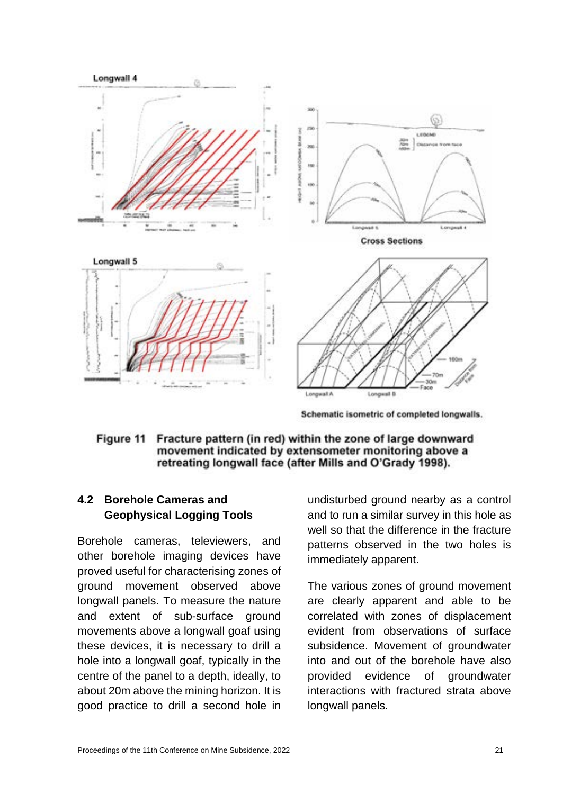

Schematic isometric of completed longwalls.

#### Figure 11 Fracture pattern (in red) within the zone of large downward movement indicated by extensometer monitoring above a retreating longwall face (after Mills and O'Grady 1998).

# **4.2 Borehole Cameras and Geophysical Logging Tools**

Borehole cameras, televiewers, and other borehole imaging devices have proved useful for characterising zones of ground movement observed above longwall panels. To measure the nature and extent of sub-surface ground movements above a longwall goaf using these devices, it is necessary to drill a hole into a longwall goaf, typically in the centre of the panel to a depth, ideally, to about 20m above the mining horizon. It is good practice to drill a second hole in

undisturbed ground nearby as a control and to run a similar survey in this hole as well so that the difference in the fracture patterns observed in the two holes is immediately apparent.

The various zones of ground movement are clearly apparent and able to be correlated with zones of displacement evident from observations of surface subsidence. Movement of groundwater into and out of the borehole have also provided evidence of groundwater interactions with fractured strata above longwall panels.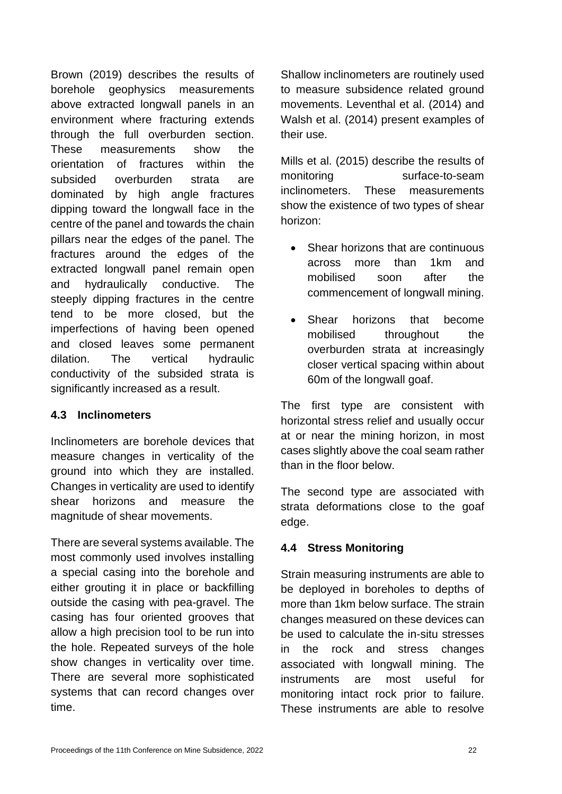Brown (2019) describes the results of borehole geophysics measurements above extracted longwall panels in an environment where fracturing extends through the full overburden section. These measurements show the orientation of fractures within the subsided overburden strata are dominated by high angle fractures dipping toward the longwall face in the centre of the panel and towards the chain pillars near the edges of the panel. The fractures around the edges of the extracted longwall panel remain open and hydraulically conductive. The steeply dipping fractures in the centre tend to be more closed, but the imperfections of having been opened and closed leaves some permanent dilation. The vertical hydraulic conductivity of the subsided strata is significantly increased as a result.

## **4.3 Inclinometers**

Inclinometers are borehole devices that measure changes in verticality of the ground into which they are installed. Changes in verticality are used to identify shear horizons and measure the magnitude of shear movements.

There are several systems available. The most commonly used involves installing a special casing into the borehole and either grouting it in place or backfilling outside the casing with pea-gravel. The casing has four oriented grooves that allow a high precision tool to be run into the hole. Repeated surveys of the hole show changes in verticality over time. There are several more sophisticated systems that can record changes over time.

Shallow inclinometers are routinely used to measure subsidence related ground movements. Leventhal et al. (2014) and Walsh et al. (2014) present examples of their use.

Mills et al. (2015) describe the results of monitoring surface-to-seam inclinometers. These measurements show the existence of two types of shear horizon:

- Shear horizons that are continuous across more than 1km and mobilised soon after the commencement of longwall mining.
- Shear horizons that become mobilised throughout the overburden strata at increasingly closer vertical spacing within about 60m of the longwall goaf.

The first type are consistent with horizontal stress relief and usually occur at or near the mining horizon, in most cases slightly above the coal seam rather than in the floor below.

The second type are associated with strata deformations close to the goaf edge.

## **4.4 Stress Monitoring**

Strain measuring instruments are able to be deployed in boreholes to depths of more than 1km below surface. The strain changes measured on these devices can be used to calculate the in-situ stresses in the rock and stress changes associated with longwall mining. The instruments are most useful for monitoring intact rock prior to failure. These instruments are able to resolve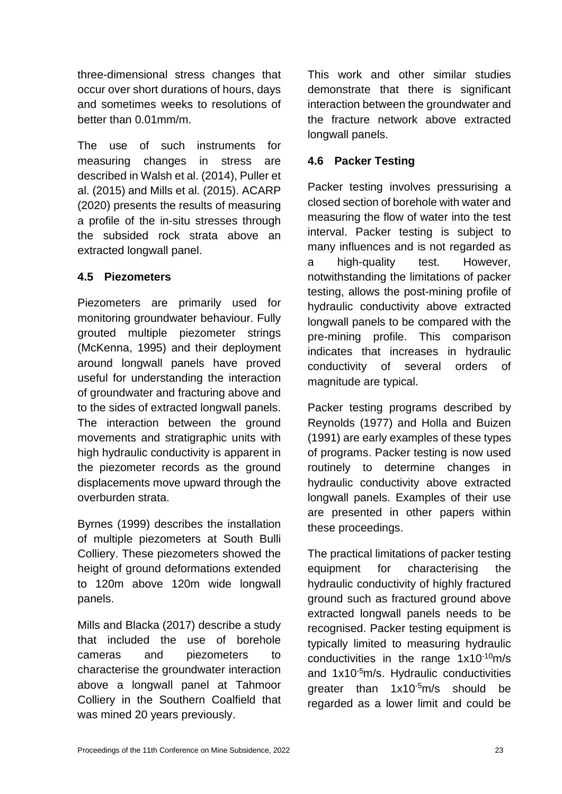three-dimensional stress changes that occur over short durations of hours, days and sometimes weeks to resolutions of better than 0.01mm/m.

The use of such instruments for measuring changes in stress are described in Walsh et al. (2014), Puller et al. (2015) and Mills et al. (2015). ACARP (2020) presents the results of measuring a profile of the in-situ stresses through the subsided rock strata above an extracted longwall panel.

## **4.5 Piezometers**

Piezometers are primarily used for monitoring groundwater behaviour. Fully grouted multiple piezometer strings (McKenna, 1995) and their deployment around longwall panels have proved useful for understanding the interaction of groundwater and fracturing above and to the sides of extracted longwall panels. The interaction between the ground movements and stratigraphic units with high hydraulic conductivity is apparent in the piezometer records as the ground displacements move upward through the overburden strata.

Byrnes (1999) describes the installation of multiple piezometers at South Bulli Colliery. These piezometers showed the height of ground deformations extended to 120m above 120m wide longwall panels.

Mills and Blacka (2017) describe a study that included the use of borehole cameras and piezometers to characterise the groundwater interaction above a longwall panel at Tahmoor Colliery in the Southern Coalfield that was mined 20 years previously.

This work and other similar studies demonstrate that there is significant interaction between the groundwater and the fracture network above extracted longwall panels.

## **4.6 Packer Testing**

Packer testing involves pressurising a closed section of borehole with water and measuring the flow of water into the test interval. Packer testing is subject to many influences and is not regarded as a high-quality test. However, notwithstanding the limitations of packer testing, allows the post-mining profile of hydraulic conductivity above extracted longwall panels to be compared with the pre-mining profile. This comparison indicates that increases in hydraulic conductivity of several orders of magnitude are typical.

Packer testing programs described by Reynolds (1977) and Holla and Buizen (1991) are early examples of these types of programs. Packer testing is now used routinely to determine changes in hydraulic conductivity above extracted longwall panels. Examples of their use are presented in other papers within these proceedings.

The practical limitations of packer testing equipment for characterising the hydraulic conductivity of highly fractured ground such as fractured ground above extracted longwall panels needs to be recognised. Packer testing equipment is typically limited to measuring hydraulic conductivities in the range 1x10-10m/s and 1x10-5m/s. Hydraulic conductivities greater than 1x10-5m/s should be regarded as a lower limit and could be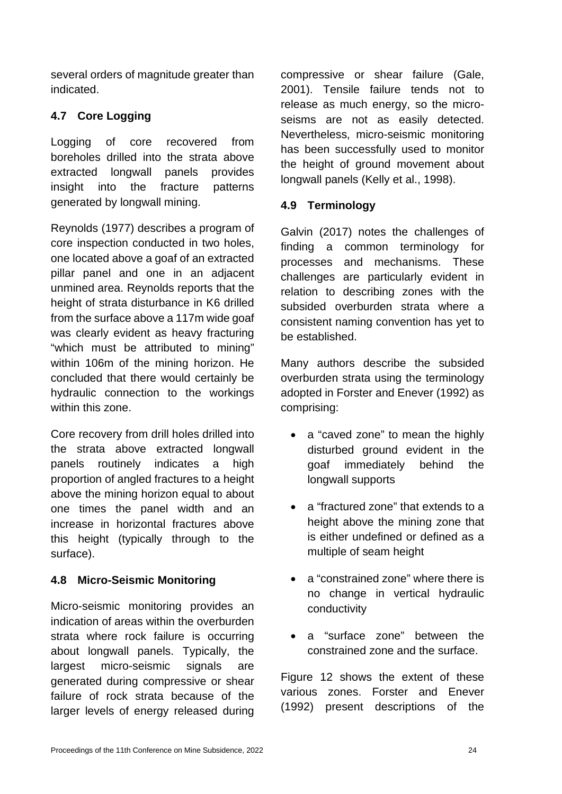several orders of magnitude greater than indicated.

# **4.7 Core Logging**

Logging of core recovered from boreholes drilled into the strata above extracted longwall panels provides insight into the fracture patterns generated by longwall mining.

Reynolds (1977) describes a program of core inspection conducted in two holes, one located above a goaf of an extracted pillar panel and one in an adjacent unmined area. Reynolds reports that the height of strata disturbance in K6 drilled from the surface above a 117m wide goaf was clearly evident as heavy fracturing "which must be attributed to mining" within 106m of the mining horizon. He concluded that there would certainly be hydraulic connection to the workings within this zone.

Core recovery from drill holes drilled into the strata above extracted longwall panels routinely indicates a high proportion of angled fractures to a height above the mining horizon equal to about one times the panel width and an increase in horizontal fractures above this height (typically through to the surface).

## **4.8 Micro-Seismic Monitoring**

Micro-seismic monitoring provides an indication of areas within the overburden strata where rock failure is occurring about longwall panels. Typically, the largest micro-seismic signals are generated during compressive or shear failure of rock strata because of the larger levels of energy released during

compressive or shear failure (Gale, 2001). Tensile failure tends not to release as much energy, so the microseisms are not as easily detected. Nevertheless, micro-seismic monitoring has been successfully used to monitor the height of ground movement about longwall panels (Kelly et al., 1998).

## **4.9 Terminology**

Galvin (2017) notes the challenges of finding a common terminology for processes and mechanisms. These challenges are particularly evident in relation to describing zones with the subsided overburden strata where a consistent naming convention has yet to be established.

Many authors describe the subsided overburden strata using the terminology adopted in Forster and Enever (1992) as comprising:

- a "caved zone" to mean the highly disturbed ground evident in the goaf immediately behind the longwall supports
- a "fractured zone" that extends to a height above the mining zone that is either undefined or defined as a multiple of seam height
- a "constrained zone" where there is no change in vertical hydraulic conductivity
- a "surface zone" between the constrained zone and the surface.

Figure 12 shows the extent of these various zones. Forster and Enever (1992) present descriptions of the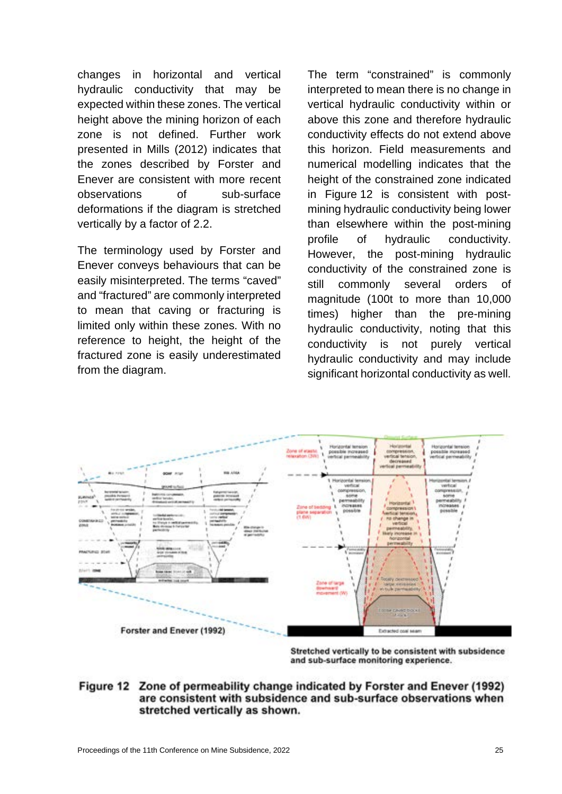changes in horizontal and vertical hydraulic conductivity that may be expected within these zones. The vertical height above the mining horizon of each zone is not defined. Further work presented in Mills (2012) indicates that the zones described by Forster and Enever are consistent with more recent observations of sub-surface deformations if the diagram is stretched vertically by a factor of 2.2.

The terminology used by Forster and Enever conveys behaviours that can be easily misinterpreted. The terms "caved" and "fractured" are commonly interpreted to mean that caving or fracturing is limited only within these zones. With no reference to height, the height of the fractured zone is easily underestimated from the diagram.

The term "constrained" is commonly interpreted to mean there is no change in vertical hydraulic conductivity within or above this zone and therefore hydraulic conductivity effects do not extend above this horizon. Field measurements and numerical modelling indicates that the height of the constrained zone indicated in Figure 12 is consistent with postmining hydraulic conductivity being lower than elsewhere within the post-mining profile of hydraulic conductivity. However, the post-mining hydraulic conductivity of the constrained zone is still commonly several orders of magnitude (100t to more than 10,000 times) higher than the pre-mining hydraulic conductivity, noting that this conductivity is not purely vertical hydraulic conductivity and may include significant horizontal conductivity as well.



Stretched vertically to be consistent with subsidence and sub-surface monitoring experience.

## Figure 12 Zone of permeability change indicated by Forster and Enever (1992) are consistent with subsidence and sub-surface observations when stretched vertically as shown.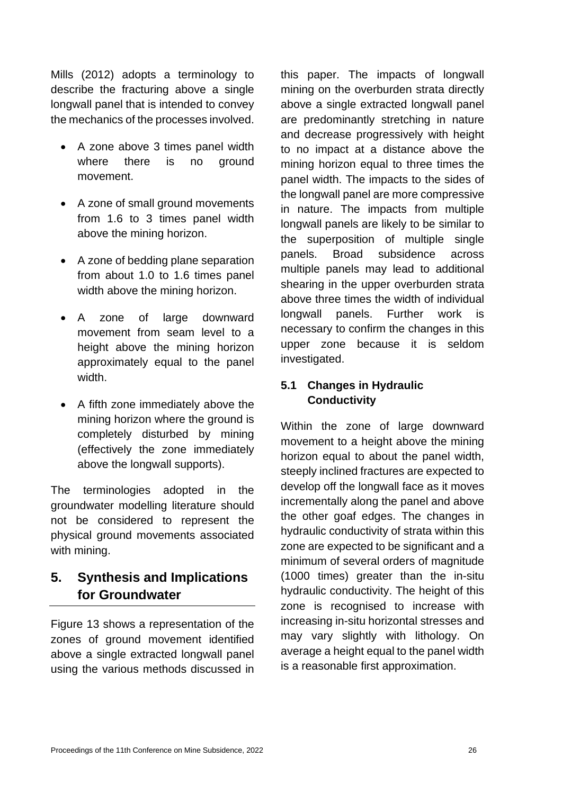Mills (2012) adopts a terminology to describe the fracturing above a single longwall panel that is intended to convey the mechanics of the processes involved.

- A zone above 3 times panel width where there is no ground movement.
- A zone of small ground movements from 1.6 to 3 times panel width above the mining horizon.
- A zone of bedding plane separation from about 1.0 to 1.6 times panel width above the mining horizon.
- A zone of large downward movement from seam level to a height above the mining horizon approximately equal to the panel width.
- A fifth zone immediately above the mining horizon where the ground is completely disturbed by mining (effectively the zone immediately above the longwall supports).

The terminologies adopted in the groundwater modelling literature should not be considered to represent the physical ground movements associated with mining.

# **5. Synthesis and Implications for Groundwater**

Figure 13 shows a representation of the zones of ground movement identified above a single extracted longwall panel using the various methods discussed in

this paper. The impacts of longwall mining on the overburden strata directly above a single extracted longwall panel are predominantly stretching in nature and decrease progressively with height to no impact at a distance above the mining horizon equal to three times the panel width. The impacts to the sides of the longwall panel are more compressive in nature. The impacts from multiple longwall panels are likely to be similar to the superposition of multiple single panels. Broad subsidence across multiple panels may lead to additional shearing in the upper overburden strata above three times the width of individual longwall panels. Further work is necessary to confirm the changes in this upper zone because it is seldom investigated.

# **5.1 Changes in Hydraulic Conductivity**

Within the zone of large downward movement to a height above the mining horizon equal to about the panel width, steeply inclined fractures are expected to develop off the longwall face as it moves incrementally along the panel and above the other goaf edges. The changes in hydraulic conductivity of strata within this zone are expected to be significant and a minimum of several orders of magnitude (1000 times) greater than the in-situ hydraulic conductivity. The height of this zone is recognised to increase with increasing in-situ horizontal stresses and may vary slightly with lithology. On average a height equal to the panel width is a reasonable first approximation.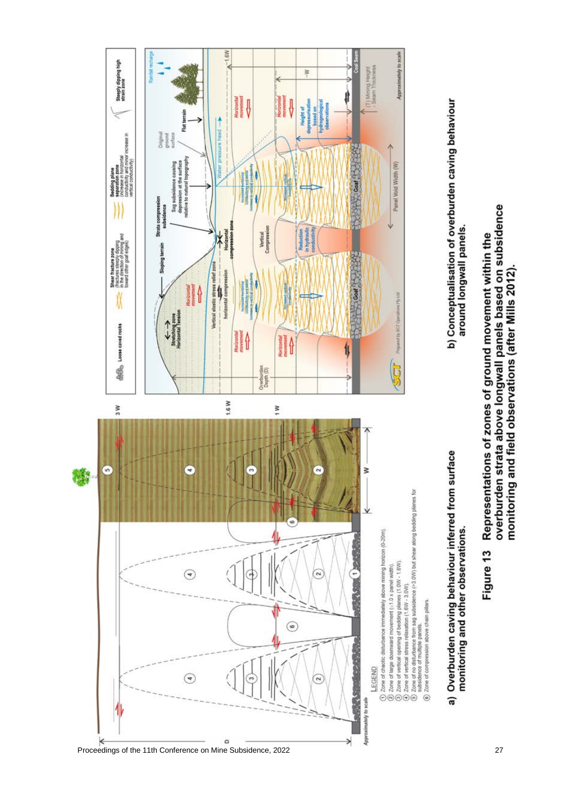

# a) Overburden caving behaviour inferred from surface monitoring and other observations.

b) Conceptualisation of overburden caving behaviour around longwall panels.

overburden strata above longwall panels based on subsidence Representations of zones of ground movement within the monitoring and field observations (after Mills 2012). Figure 13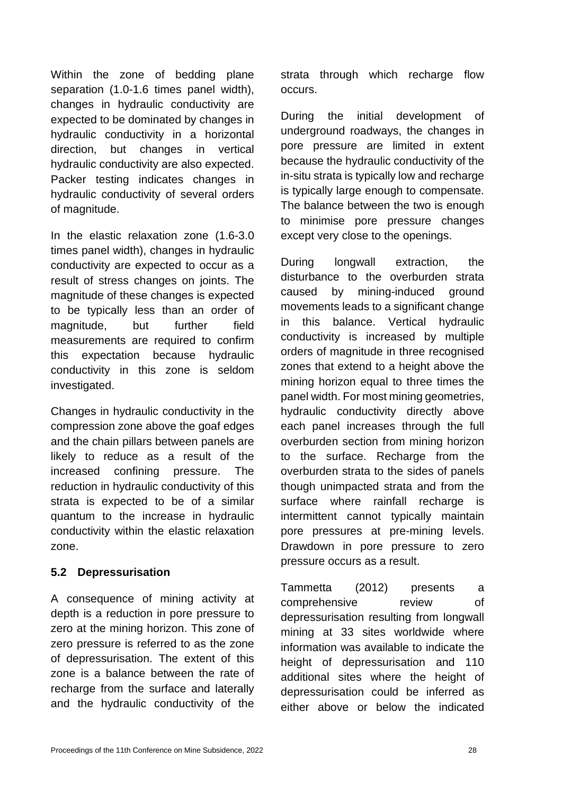Within the zone of bedding plane separation (1.0-1.6 times panel width), changes in hydraulic conductivity are expected to be dominated by changes in hydraulic conductivity in a horizontal direction, but changes in vertical hydraulic conductivity are also expected. Packer testing indicates changes in hydraulic conductivity of several orders of magnitude.

In the elastic relaxation zone (1.6-3.0 times panel width), changes in hydraulic conductivity are expected to occur as a result of stress changes on joints. The magnitude of these changes is expected to be typically less than an order of magnitude, but further field measurements are required to confirm this expectation because hydraulic conductivity in this zone is seldom investigated.

Changes in hydraulic conductivity in the compression zone above the goaf edges and the chain pillars between panels are likely to reduce as a result of the increased confining pressure. The reduction in hydraulic conductivity of this strata is expected to be of a similar quantum to the increase in hydraulic conductivity within the elastic relaxation zone.

## **5.2 Depressurisation**

A consequence of mining activity at depth is a reduction in pore pressure to zero at the mining horizon. This zone of zero pressure is referred to as the zone of depressurisation. The extent of this zone is a balance between the rate of recharge from the surface and laterally and the hydraulic conductivity of the strata through which recharge flow occurs.

During the initial development of underground roadways, the changes in pore pressure are limited in extent because the hydraulic conductivity of the in-situ strata is typically low and recharge is typically large enough to compensate. The balance between the two is enough to minimise pore pressure changes except very close to the openings.

During longwall extraction, the disturbance to the overburden strata caused by mining-induced ground movements leads to a significant change in this balance. Vertical hydraulic conductivity is increased by multiple orders of magnitude in three recognised zones that extend to a height above the mining horizon equal to three times the panel width. For most mining geometries, hydraulic conductivity directly above each panel increases through the full overburden section from mining horizon to the surface. Recharge from the overburden strata to the sides of panels though unimpacted strata and from the surface where rainfall recharge is intermittent cannot typically maintain pore pressures at pre-mining levels. Drawdown in pore pressure to zero pressure occurs as a result.

Tammetta (2012) presents a comprehensive review of depressurisation resulting from longwall mining at 33 sites worldwide where information was available to indicate the height of depressurisation and 110 additional sites where the height of depressurisation could be inferred as either above or below the indicated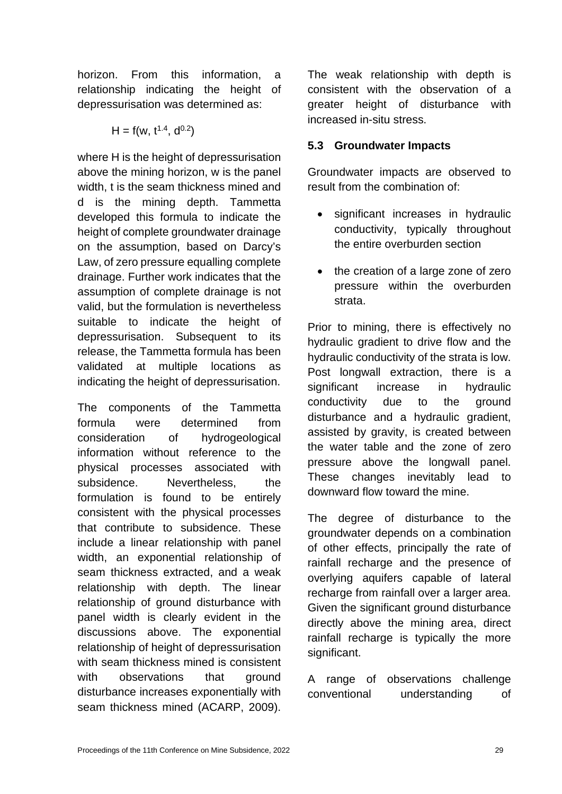horizon. From this information, a relationship indicating the height of depressurisation was determined as:

$$
H = f(w, t^{1.4}, d^{0.2})
$$

where H is the height of depressurisation above the mining horizon, w is the panel width, t is the seam thickness mined and d is the mining depth. Tammetta developed this formula to indicate the height of complete groundwater drainage on the assumption, based on Darcy's Law, of zero pressure equalling complete drainage. Further work indicates that the assumption of complete drainage is not valid, but the formulation is nevertheless suitable to indicate the height of depressurisation. Subsequent to its release, the Tammetta formula has been validated at multiple locations as indicating the height of depressurisation.

The components of the Tammetta formula were determined from consideration of hydrogeological information without reference to the physical processes associated with subsidence. Nevertheless, the formulation is found to be entirely consistent with the physical processes that contribute to subsidence. These include a linear relationship with panel width, an exponential relationship of seam thickness extracted, and a weak relationship with depth. The linear relationship of ground disturbance with panel width is clearly evident in the discussions above. The exponential relationship of height of depressurisation with seam thickness mined is consistent with observations that ground disturbance increases exponentially with seam thickness mined (ACARP, 2009).

The weak relationship with depth is consistent with the observation of a greater height of disturbance with increased in-situ stress.

## **5.3 Groundwater Impacts**

Groundwater impacts are observed to result from the combination of:

- significant increases in hydraulic conductivity, typically throughout the entire overburden section
- the creation of a large zone of zero pressure within the overburden strata.

Prior to mining, there is effectively no hydraulic gradient to drive flow and the hydraulic conductivity of the strata is low. Post longwall extraction, there is a significant increase in hydraulic conductivity due to the ground disturbance and a hydraulic gradient, assisted by gravity, is created between the water table and the zone of zero pressure above the longwall panel. These changes inevitably lead to downward flow toward the mine.

The degree of disturbance to the groundwater depends on a combination of other effects, principally the rate of rainfall recharge and the presence of overlying aquifers capable of lateral recharge from rainfall over a larger area. Given the significant ground disturbance directly above the mining area, direct rainfall recharge is typically the more significant.

A range of observations challenge conventional understanding of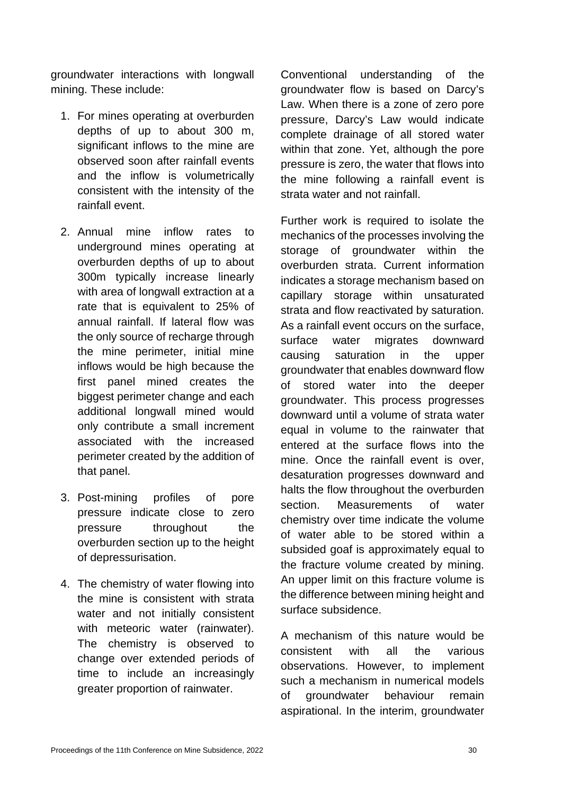groundwater interactions with longwall mining. These include:

- 1. For mines operating at overburden depths of up to about 300 m, significant inflows to the mine are observed soon after rainfall events and the inflow is volumetrically consistent with the intensity of the rainfall event.
- 2. Annual mine inflow rates to underground mines operating at overburden depths of up to about 300m typically increase linearly with area of longwall extraction at a rate that is equivalent to 25% of annual rainfall. If lateral flow was the only source of recharge through the mine perimeter, initial mine inflows would be high because the first panel mined creates the biggest perimeter change and each additional longwall mined would only contribute a small increment associated with the increased perimeter created by the addition of that panel.
- 3. Post-mining profiles of pore pressure indicate close to zero pressure throughout the overburden section up to the height of depressurisation.
- 4. The chemistry of water flowing into the mine is consistent with strata water and not initially consistent with meteoric water (rainwater). The chemistry is observed to change over extended periods of time to include an increasingly greater proportion of rainwater.

Conventional understanding of the groundwater flow is based on Darcy's Law. When there is a zone of zero pore pressure, Darcy's Law would indicate complete drainage of all stored water within that zone. Yet, although the pore pressure is zero, the water that flows into the mine following a rainfall event is strata water and not rainfall.

Further work is required to isolate the mechanics of the processes involving the storage of groundwater within the overburden strata. Current information indicates a storage mechanism based on capillary storage within unsaturated strata and flow reactivated by saturation. As a rainfall event occurs on the surface, surface water migrates downward causing saturation in the upper groundwater that enables downward flow of stored water into the deeper groundwater. This process progresses downward until a volume of strata water equal in volume to the rainwater that entered at the surface flows into the mine. Once the rainfall event is over, desaturation progresses downward and halts the flow throughout the overburden section. Measurements of water chemistry over time indicate the volume of water able to be stored within a subsided goaf is approximately equal to the fracture volume created by mining. An upper limit on this fracture volume is the difference between mining height and surface subsidence.

A mechanism of this nature would be consistent with all the various observations. However, to implement such a mechanism in numerical models of groundwater behaviour remain aspirational. In the interim, groundwater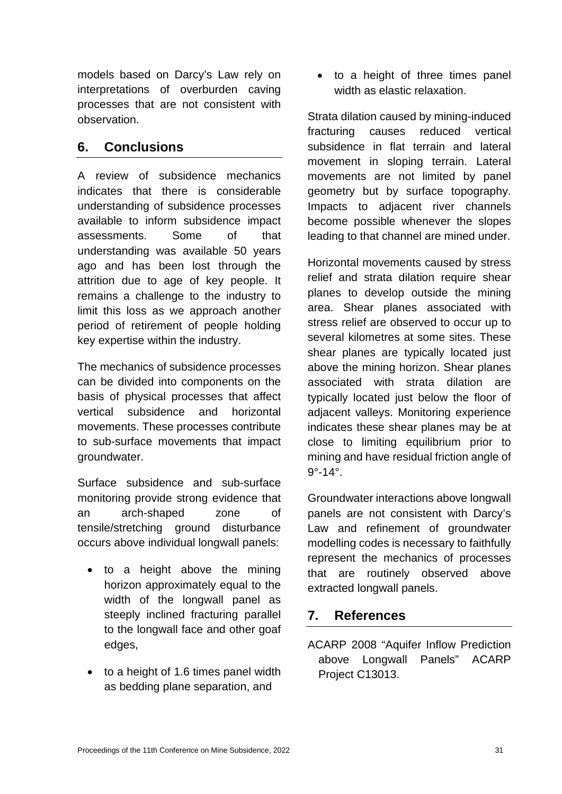models based on Darcy's Law rely on interpretations of overburden caving processes that are not consistent with observation.

# **6. Conclusions**

A review of subsidence mechanics indicates that there is considerable understanding of subsidence processes available to inform subsidence impact assessments. Some of that understanding was available 50 years ago and has been lost through the attrition due to age of key people. It remains a challenge to the industry to limit this loss as we approach another period of retirement of people holding key expertise within the industry.

The mechanics of subsidence processes can be divided into components on the basis of physical processes that affect vertical subsidence and horizontal movements. These processes contribute to sub-surface movements that impact groundwater.

Surface subsidence and sub-surface monitoring provide strong evidence that an arch-shaped zone of tensile/stretching ground disturbance occurs above individual longwall panels:

- to a height above the mining horizon approximately equal to the width of the longwall panel as steeply inclined fracturing parallel to the longwall face and other goaf edges,
- to a height of 1.6 times panel width as bedding plane separation, and

• to a height of three times panel width as elastic relaxation.

Strata dilation caused by mining-induced fracturing causes reduced vertical subsidence in flat terrain and lateral movement in sloping terrain. Lateral movements are not limited by panel geometry but by surface topography. Impacts to adjacent river channels become possible whenever the slopes leading to that channel are mined under.

Horizontal movements caused by stress relief and strata dilation require shear planes to develop outside the mining area. Shear planes associated with stress relief are observed to occur up to several kilometres at some sites. These shear planes are typically located just above the mining horizon. Shear planes associated with strata dilation are typically located just below the floor of adjacent valleys. Monitoring experience indicates these shear planes may be at close to limiting equilibrium prior to mining and have residual friction angle of 9°-14°.

Groundwater interactions above longwall panels are not consistent with Darcy's Law and refinement of groundwater modelling codes is necessary to faithfully represent the mechanics of processes that are routinely observed above extracted longwall panels.

# **7. References**

ACARP 2008 "Aquifer Inflow Prediction above Longwall Panels" ACARP Project C13013.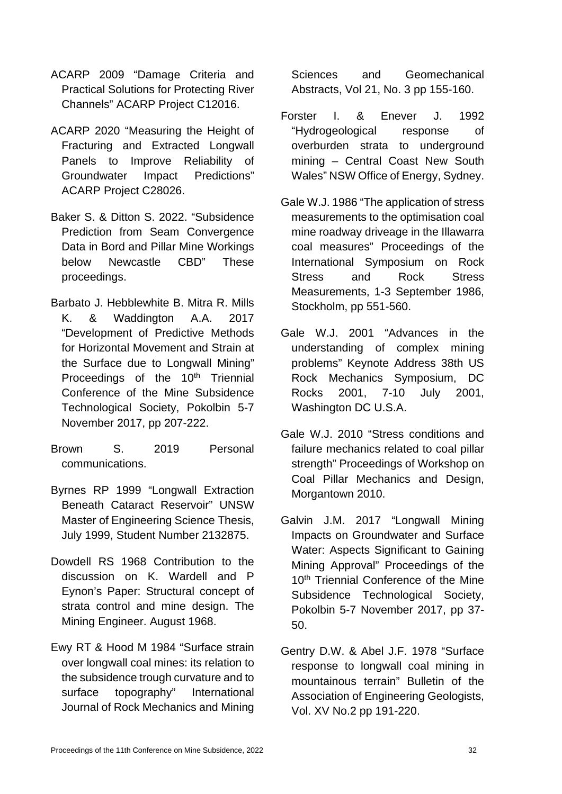- ACARP 2009 "Damage Criteria and Practical Solutions for Protecting River Channels" ACARP Project C12016.
- ACARP 2020 "Measuring the Height of Fracturing and Extracted Longwall Panels to Improve Reliability of Groundwater Impact Predictions" ACARP Project C28026.
- Baker S. & Ditton S. 2022. "Subsidence Prediction from Seam Convergence Data in Bord and Pillar Mine Workings below Newcastle CBD" These proceedings.
- Barbato J. Hebblewhite B. Mitra R. Mills K. & Waddington A.A. 2017 "Development of Predictive Methods for Horizontal Movement and Strain at the Surface due to Longwall Mining" Proceedings of the 10<sup>th</sup> Triennial Conference of the Mine Subsidence Technological Society, Pokolbin 5-7 November 2017, pp 207-222.
- Brown S. 2019 Personal communications.
- Byrnes RP 1999 "Longwall Extraction Beneath Cataract Reservoir" UNSW Master of Engineering Science Thesis, July 1999, Student Number 2132875.
- Dowdell RS 1968 Contribution to the discussion on K. Wardell and P Eynon's Paper: Structural concept of strata control and mine design. The Mining Engineer. August 1968.
- Ewy RT & Hood M 1984 "Surface strain over longwall coal mines: its relation to the subsidence trough curvature and to surface topography" International Journal of Rock Mechanics and Mining

Sciences and Geomechanical Abstracts, Vol 21, No. 3 pp 155-160.

- Forster I. & Enever J. 1992 "Hydrogeological response of overburden strata to underground mining – Central Coast New South Wales" NSW Office of Energy, Sydney.
- Gale W.J. 1986 "The application of stress measurements to the optimisation coal mine roadway driveage in the Illawarra coal measures" Proceedings of the International Symposium on Rock Stress and Rock Stress Measurements, 1-3 September 1986, Stockholm, pp 551-560.
- Gale W.J. 2001 "Advances in the understanding of complex mining problems" Keynote Address 38th US Rock Mechanics Symposium, DC Rocks 2001, 7-10 July 2001, Washington DC U.S.A.
- Gale W.J. 2010 "Stress conditions and failure mechanics related to coal pillar strength" Proceedings of Workshop on Coal Pillar Mechanics and Design, Morgantown 2010.
- Galvin J.M. 2017 "Longwall Mining Impacts on Groundwater and Surface Water: Aspects Significant to Gaining Mining Approval" Proceedings of the 10<sup>th</sup> Triennial Conference of the Mine Subsidence Technological Society, Pokolbin 5-7 November 2017, pp 37- 50.
- Gentry D.W. & Abel J.F. 1978 "Surface response to longwall coal mining in mountainous terrain" Bulletin of the Association of Engineering Geologists, Vol. XV No.2 pp 191-220.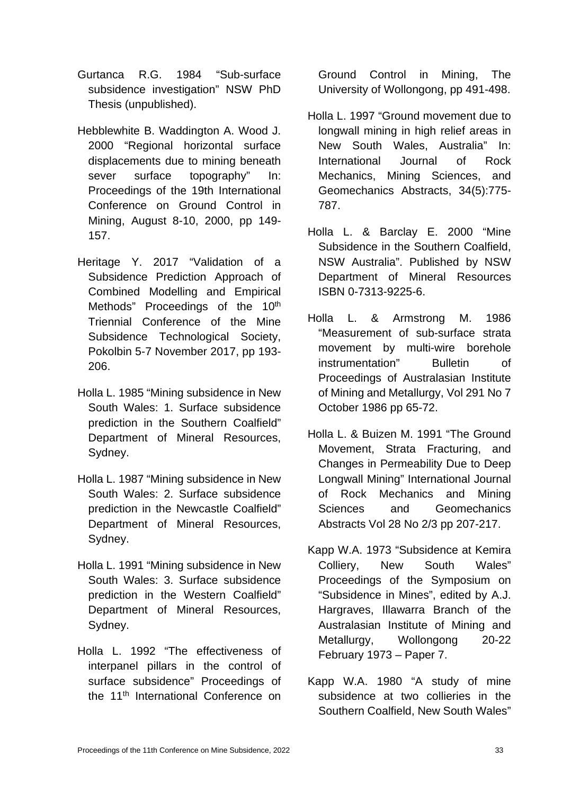- Gurtanca R.G. 1984 "Sub-surface subsidence investigation" NSW PhD Thesis (unpublished).
- Hebblewhite B. Waddington A. Wood J. 2000 "Regional horizontal surface displacements due to mining beneath sever surface topography" In: Proceedings of the 19th International Conference on Ground Control in Mining, August 8-10, 2000, pp 149- 157.
- Heritage Y. 2017 "Validation of a Subsidence Prediction Approach of Combined Modelling and Empirical Methods" Proceedings of the 10<sup>th</sup> Triennial Conference of the Mine Subsidence Technological Society, Pokolbin 5-7 November 2017, pp 193- 206.
- Holla L. 1985 "Mining subsidence in New South Wales: 1. Surface subsidence prediction in the Southern Coalfield" Department of Mineral Resources, Sydney.
- Holla L. 1987 "Mining subsidence in New South Wales: 2. Surface subsidence prediction in the Newcastle Coalfield" Department of Mineral Resources, Sydney.
- Holla L. 1991 "Mining subsidence in New South Wales: 3. Surface subsidence prediction in the Western Coalfield" Department of Mineral Resources, Sydney.
- Holla L. 1992 "The effectiveness of interpanel pillars in the control of surface subsidence" Proceedings of the 11<sup>th</sup> International Conference on

Ground Control in Mining, The University of Wollongong, pp 491-498.

- Holla L. 1997 "Ground movement due to longwall mining in high relief areas in New South Wales, Australia" In: International Journal of Rock Mechanics, Mining Sciences, and Geomechanics Abstracts, 34(5):775- 787.
- Holla L. & Barclay E. 2000 "Mine Subsidence in the Southern Coalfield, NSW Australia". Published by NSW Department of Mineral Resources ISBN 0-7313-9225-6.
- Holla L. & Armstrong M. 1986 "Measurement of sub-surface strata movement by multi-wire borehole instrumentation" Bulletin of Proceedings of Australasian Institute of Mining and Metallurgy, Vol 291 No 7 October 1986 pp 65-72.
- Holla L. & Buizen M. 1991 "The Ground Movement, Strata Fracturing, and Changes in Permeability Due to Deep Longwall Mining" International Journal of Rock Mechanics and Mining Sciences and Geomechanics Abstracts Vol 28 No 2/3 pp 207-217.
- Kapp W.A. 1973 "Subsidence at Kemira Colliery, New South Wales" Proceedings of the Symposium on "Subsidence in Mines", edited by A.J. Hargraves, Illawarra Branch of the Australasian Institute of Mining and Metallurgy, Wollongong 20-22 February 1973 – Paper 7.
- Kapp W.A. 1980 "A study of mine subsidence at two collieries in the Southern Coalfield, New South Wales"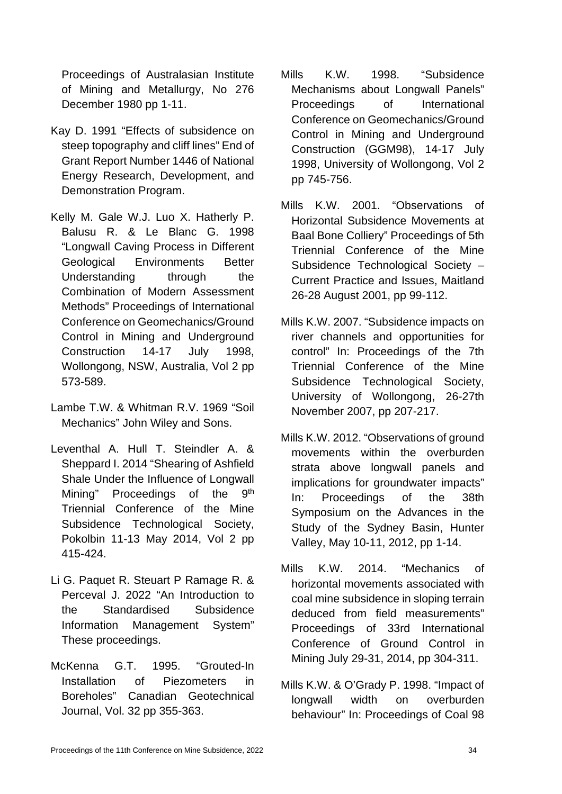Proceedings of Australasian Institute of Mining and Metallurgy, No 276 December 1980 pp 1-11.

- Kay D. 1991 "Effects of subsidence on steep topography and cliff lines" End of Grant Report Number 1446 of National Energy Research, Development, and Demonstration Program.
- Kelly M. Gale W.J. Luo X. Hatherly P. Balusu R. & Le Blanc G. 1998 "Longwall Caving Process in Different Geological Environments Better Understanding through the Combination of Modern Assessment Methods" Proceedings of International Conference on Geomechanics/Ground Control in Mining and Underground Construction 14-17 July 1998, Wollongong, NSW, Australia, Vol 2 pp 573-589.
- Lambe T.W. & Whitman R.V. 1969 "Soil Mechanics" John Wiley and Sons.
- Leventhal A. Hull T. Steindler A. & Sheppard I. 2014 "Shearing of Ashfield Shale Under the Influence of Longwall Mining" Proceedings of the 9<sup>th</sup> Triennial Conference of the Mine Subsidence Technological Society, Pokolbin 11-13 May 2014, Vol 2 pp 415-424.
- Li G. Paquet R. Steuart P Ramage R. & Perceval J. 2022 "An Introduction to the Standardised Subsidence Information Management System" These proceedings.
- McKenna G.T. 1995. "Grouted-In Installation of Piezometers in Boreholes" Canadian Geotechnical Journal, Vol. 32 pp 355-363.
- Mills K.W. 1998. "Subsidence Mechanisms about Longwall Panels" Proceedings of International Conference on Geomechanics/Ground Control in Mining and Underground Construction (GGM98), 14-17 July 1998, University of Wollongong, Vol 2 pp 745-756.
- Mills K.W. 2001. "Observations of Horizontal Subsidence Movements at Baal Bone Colliery" Proceedings of 5th Triennial Conference of the Mine Subsidence Technological Society – Current Practice and Issues, Maitland 26-28 August 2001, pp 99-112.
- Mills K.W. 2007. "Subsidence impacts on river channels and opportunities for control" In: Proceedings of the 7th Triennial Conference of the Mine Subsidence Technological Society, University of Wollongong, 26-27th November 2007, pp 207-217.
- Mills K.W. 2012. "Observations of ground movements within the overburden strata above longwall panels and implications for groundwater impacts" In: Proceedings of the 38th Symposium on the Advances in the Study of the Sydney Basin, Hunter Valley, May 10-11, 2012, pp 1-14.
- Mills K.W. 2014. "Mechanics of horizontal movements associated with coal mine subsidence in sloping terrain deduced from field measurements" Proceedings of 33rd International Conference of Ground Control in Mining July 29-31, 2014, pp 304-311.
- Mills K.W. & O'Grady P. 1998. "Impact of longwall width on overburden behaviour" In: Proceedings of Coal 98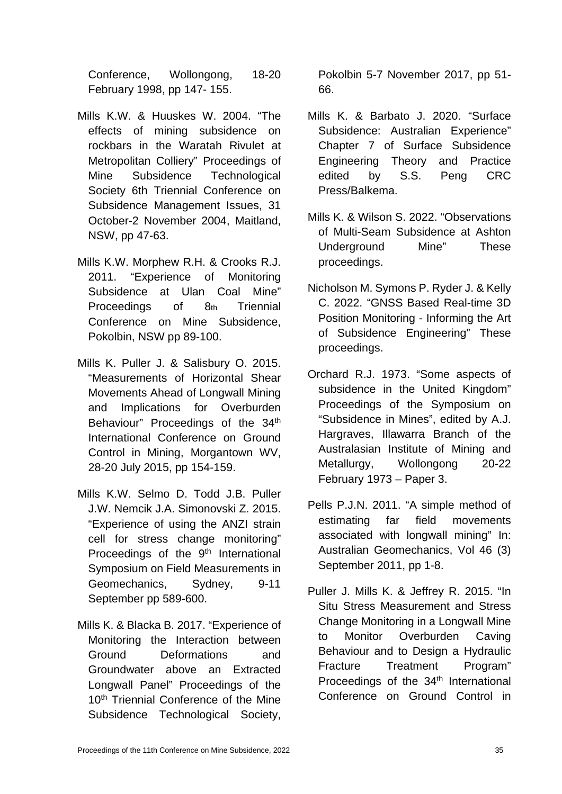Conference, Wollongong, 18-20 February 1998, pp 147- 155.

- Mills K.W. & Huuskes W. 2004. "The effects of mining subsidence on rockbars in the Waratah Rivulet at Metropolitan Colliery" Proceedings of Mine Subsidence Technological Society 6th Triennial Conference on Subsidence Management Issues, 31 October-2 November 2004, Maitland, NSW, pp 47-63.
- Mills K.W. Morphew R.H. & Crooks R.J. 2011. "Experience of Monitoring Subsidence at Ulan Coal Mine" Proceedings of 8th Triennial Conference on Mine Subsidence, Pokolbin, NSW pp 89-100.
- Mills K. Puller J. & Salisbury O. 2015. "Measurements of Horizontal Shear Movements Ahead of Longwall Mining and Implications for Overburden Behaviour" Proceedings of the 34<sup>th</sup> International Conference on Ground Control in Mining, Morgantown WV, 28-20 July 2015, pp 154-159.
- Mills K.W. Selmo D. Todd J.B. Puller J.W. Nemcik J.A. Simonovski Z. 2015. "Experience of using the ANZI strain cell for stress change monitoring" Proceedings of the 9<sup>th</sup> International Symposium on Field Measurements in Geomechanics, Sydney, 9-11 September pp 589-600.
- Mills K. & Blacka B. 2017. "Experience of Monitoring the Interaction between Ground Deformations and Groundwater above an Extracted Longwall Panel" Proceedings of the 10<sup>th</sup> Triennial Conference of the Mine Subsidence Technological Society,

Pokolbin 5-7 November 2017, pp 51- 66.

- Mills K. & Barbato J. 2020. "Surface Subsidence: Australian Experience" Chapter 7 of Surface Subsidence Engineering Theory and Practice edited by S.S. Peng CRC Press/Balkema.
- Mills K. & Wilson S. 2022. "Observations of Multi-Seam Subsidence at Ashton Underground Mine" These proceedings.
- Nicholson M. Symons P. Ryder J. & Kelly C. 2022. "GNSS Based Real-time 3D Position Monitoring - Informing the Art of Subsidence Engineering" These proceedings.
- Orchard R.J. 1973. "Some aspects of subsidence in the United Kingdom" Proceedings of the Symposium on "Subsidence in Mines", edited by A.J. Hargraves, Illawarra Branch of the Australasian Institute of Mining and Metallurgy, Wollongong 20-22 February 1973 – Paper 3.
- Pells P.J.N. 2011. "A simple method of estimating far field movements associated with longwall mining" In: Australian Geomechanics, Vol 46 (3) September 2011, pp 1-8.
- Puller J. Mills K. & Jeffrey R. 2015. "In Situ Stress Measurement and Stress Change Monitoring in a Longwall Mine to Monitor Overburden Caving Behaviour and to Design a Hydraulic Fracture Treatment Program" Proceedings of the 34<sup>th</sup> International Conference on Ground Control in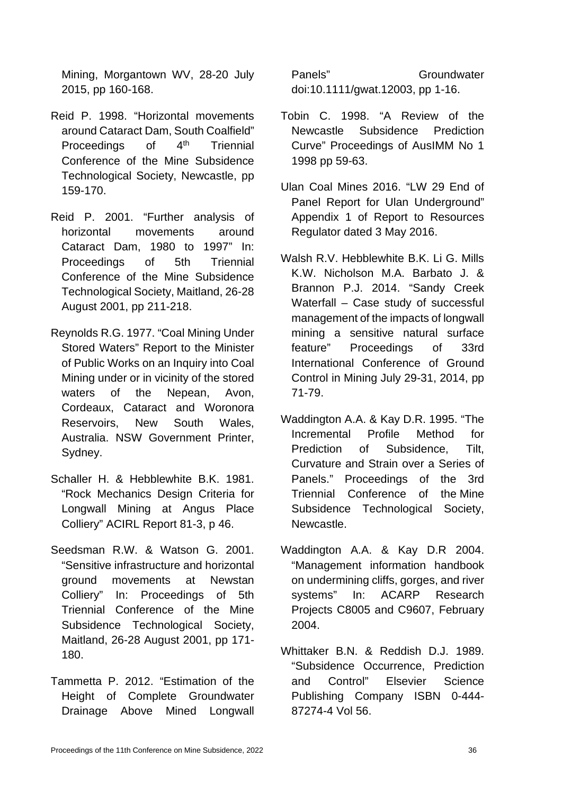Mining, Morgantown WV, 28-20 July 2015, pp 160-168.

- Reid P. 1998. "Horizontal movements around Cataract Dam, South Coalfield" Proceedings of 4<sup>th</sup> Triennial Conference of the Mine Subsidence Technological Society, Newcastle, pp 159-170.
- Reid P. 2001. "Further analysis of horizontal movements around Cataract Dam, 1980 to 1997" In: Proceedings of 5th Triennial Conference of the Mine Subsidence Technological Society, Maitland, 26-28 August 2001, pp 211-218.
- Reynolds R.G. 1977. "Coal Mining Under Stored Waters" Report to the Minister of Public Works on an Inquiry into Coal Mining under or in vicinity of the stored waters of the Nepean, Avon, Cordeaux, Cataract and Woronora Reservoirs, New South Wales, Australia. NSW Government Printer, Sydney.
- Schaller H. & Hebblewhite B.K. 1981. "Rock Mechanics Design Criteria for Longwall Mining at Angus Place Colliery" ACIRL Report 81-3, p 46.
- Seedsman R.W. & Watson G. 2001. "Sensitive infrastructure and horizontal ground movements at Newstan Colliery" In: Proceedings of 5th Triennial Conference of the Mine Subsidence Technological Society, Maitland, 26-28 August 2001, pp 171- 180.
- Tammetta P. 2012. "Estimation of the Height of Complete Groundwater Drainage Above Mined Longwall

Panels" Groundwater doi:10.1111/gwat.12003, pp 1-16.

- Tobin C. 1998. "A Review of the Newcastle Subsidence Prediction Curve" Proceedings of AusIMM No 1 1998 pp 59-63.
- Ulan Coal Mines 2016. "LW 29 End of Panel Report for Ulan Underground" Appendix 1 of Report to Resources Regulator dated 3 May 2016.
- Walsh R.V. Hebblewhite B.K. Li G. Mills K.W. Nicholson M.A. Barbato J. & Brannon P.J. 2014. "Sandy Creek Waterfall – Case study of successful management of the impacts of longwall mining a sensitive natural surface feature" Proceedings of 33rd International Conference of Ground Control in Mining July 29-31, 2014, pp 71-79.
- Waddington A.A. & Kay D.R. 1995. "The Incremental Profile Method for Prediction of Subsidence, Tilt, Curvature and Strain over a Series of Panels." Proceedings of the 3rd Triennial Conference of the Mine Subsidence Technological Society, Newcastle.
- Waddington A.A. & Kay D.R 2004. "Management information handbook on undermining cliffs, gorges, and river systems" In: ACARP Research Projects C8005 and C9607, February 2004.
- Whittaker B.N. & Reddish D.J. 1989. "Subsidence Occurrence, Prediction and Control" Elsevier Science Publishing Company ISBN 0-444- 87274-4 Vol 56.